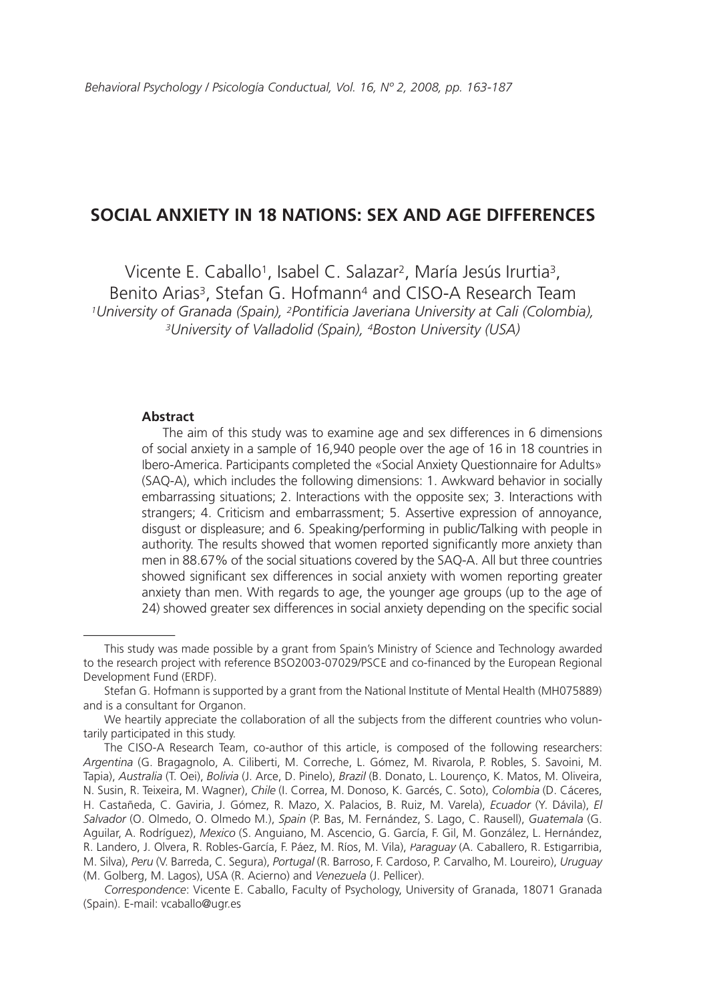# **SOCIAL ANXIETY IN 18 NATIONS: SEX AND AGE DIFFERENCES**

Vicente E. Caballo<sup>1</sup>, Isabel C. Salazar<sup>2</sup>, María Jesús Irurtia<sup>3</sup>, Benito Arias3, Stefan G. Hofmann4 and CISO-A Research Team *1University of Granada (Spain), 2Pontificia Javeriana University at Cali (Colombia), 3University of Valladolid (Spain), 4Boston University (USA)*

#### **Abstract**

The aim of this study was to examine age and sex differences in 6 dimensions of social anxiety in a sample of 16,940 people over the age of 16 in 18 countries in Ibero-America. Participants completed the «Social Anxiety Questionnaire for Adults» (SAQ-A), which includes the following dimensions: 1. Awkward behavior in socially embarrassing situations; 2. Interactions with the opposite sex; 3. Interactions with strangers; 4. Criticism and embarrassment; 5. Assertive expression of annoyance, disgust or displeasure; and 6. Speaking/performing in public/Talking with people in authority. The results showed that women reported significantly more anxiety than men in 88.67% of the social situations covered by the SAQ-A. All but three countries showed significant sex differences in social anxiety with women reporting greater anxiety than men. With regards to age, the younger age groups (up to the age of 24) showed greater sex differences in social anxiety depending on the specific social

This study was made possible by a grant from Spain's Ministry of Science and Technology awarded to the research project with reference BSO2003-07029/PSCE and co-financed by the European Regional Development Fund (ERDF).

Stefan G. Hofmann is supported by a grant from the National Institute of Mental Health (MH075889) and is a consultant for Organon.

We heartily appreciate the collaboration of all the subjects from the different countries who voluntarily participated in this study.

The CISO-A Research Team, co-author of this article, is composed of the following researchers: *Argentina* (G. Bragagnolo, A. Ciliberti, M. Correche, L. Gómez, M. Rivarola, P. Robles, S. Savoini, M. Tapia), *Australia* (T. Oei), *Bolivia* (J. Arce, D. Pinelo), *Brazil* (B. Donato, L. Lourenço, K. Matos, M. Oliveira, N. Susin, R. Teixeira, M. Wagner), *Chile* (I. Correa, M. Donoso, K. Garcés, C. Soto), *Colombia* (D. Cáceres, H. Castañeda, C. Gaviria, J. Gómez, R. Mazo, X. Palacios, B. Ruiz, M. Varela), *Ecuador* (Y. Dávila), *El Salvador* (O. Olmedo, O. Olmedo M.), *Spain* (P. Bas, M. Fernández, S. Lago, C. Rausell), *Guatemala* (G. Aguilar, A. Rodríguez), *Mexico* (S. Anguiano, M. Ascencio, G. García, F. Gil, M. González, L. Hernández, R. Landero, J. Olvera, R. Robles-García, F. Páez, M. Ríos, M. Vila), *Paraguay* (A. Caballero, R. Estigarribia, M. Silva), *Peru* (V. Barreda, C. Segura), *Portugal* (R. Barroso, F. Cardoso, P. Carvalho, M. Loureiro), (R. Barroso, F. Cardoso, P. Carvalho, M. Loureiro), *Uruguay* (M. Golberg, M. Lagos), USA (R. Acierno) and *Venezuela* (J. Pellicer).

*Correspondence*: Vicente E. Caballo, Faculty of Psychology, University of Granada, 18071 Granada (Spain). E-mail: vcaballo@ugr.es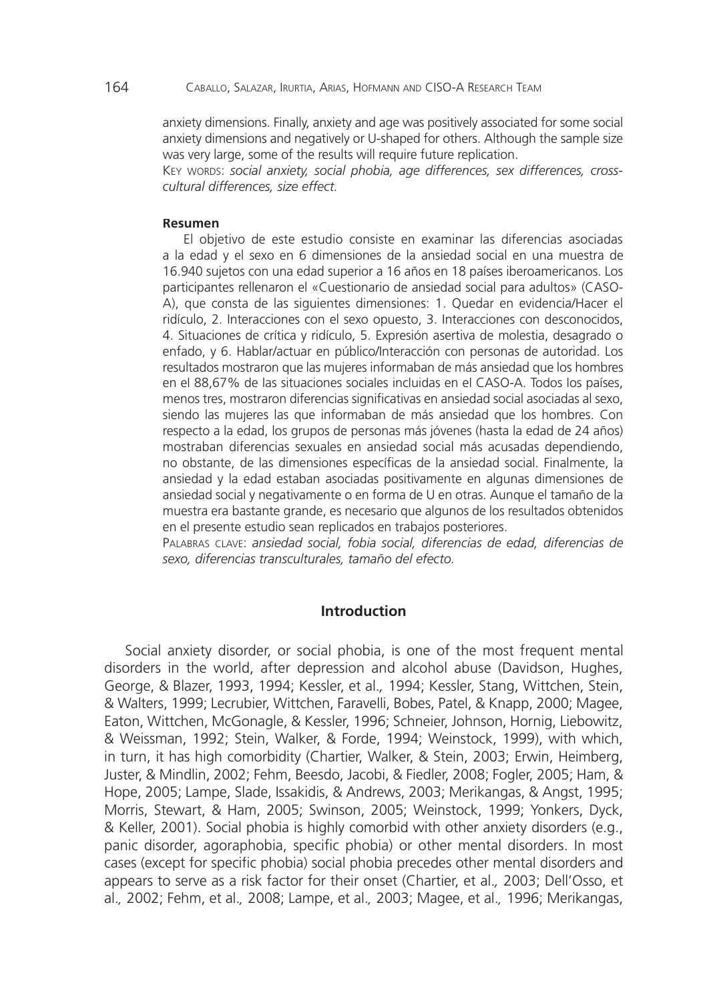anxiety dimensions. Finally, anxiety and age was positively associated for some social anxiety dimensions and negatively or U-shaped for others. Although the sample size was very large, some of the results will require future replication.

KEY WORDS: *social anxiety, social phobia, age differences, sex differences, crosscultural differences, size effect.*

#### **Resumen**

El objetivo de este estudio consiste en examinar las diferencias asociadas a la edad y el sexo en 6 dimensiones de la ansiedad social en una muestra de 16.940 sujetos con una edad superior a 16 años en 18 países iberoamericanos. Los participantes rellenaron el «Cuestionario de ansiedad social para adultos» (CASO-A), que consta de las siguientes dimensiones: 1. Quedar en evidencia/Hacer el ridículo, 2. Interacciones con el sexo opuesto, 3. Interacciones con desconocidos, 4. Situaciones de crítica y ridículo, 5. Expresión asertiva de molestia, desagrado o enfado, y 6. Hablar/actuar en público/Interacción con personas de autoridad. Los resultados mostraron que las mujeres informaban de más ansiedad que los hombres en el 88,67% de las situaciones sociales incluidas en el CASO-A. Todos los países, menos tres, mostraron diferencias significativas en ansiedad social asociadas al sexo, siendo las mujeres las que informaban de más ansiedad que los hombres. Con respecto a la edad, los grupos de personas más jóvenes (hasta la edad de 24 años) mostraban diferencias sexuales en ansiedad social más acusadas dependiendo, no obstante, de las dimensiones específicas de la ansiedad social. Finalmente, la ansiedad y la edad estaban asociadas positivamente en algunas dimensiones de ansiedad social y negativamente o en forma de U en otras. Aunque el tamaño de la muestra era bastante grande, es necesario que algunos de los resultados obtenidos en el presente estudio sean replicados en trabajos posteriores.

PALABRAS CLAVE: *ansiedad social, fobia social, diferencias de edad, diferencias de sexo, diferencias transculturales, tamaño del efecto.*

## **Introduction**

Social anxiety disorder, or social phobia, is one of the most frequent mental disorders in the world, after depression and alcohol abuse (Davidson, Hughes, George, & Blazer, 1993, 1994; Kessler, et al.*,* 1994; Kessler, Stang, Wittchen, Stein, & Walters, 1999; Lecrubier, Wittchen, Faravelli, Bobes, Patel, & Knapp, 2000; Magee, Eaton, Wittchen, McGonagle, & Kessler, 1996; Schneier, Johnson, Hornig, Liebowitz, & Weissman, 1992; Stein, Walker, & Forde, 1994; Weinstock, 1999), with which, in turn, it has high comorbidity (Chartier, Walker, & Stein, 2003; Erwin, Heimberg, Juster, & Mindlin, 2002; Fehm, Beesdo, Jacobi, & Fiedler, 2008; Fogler, 2005; Ham, & Hope, 2005; Lampe, Slade, Issakidis, & Andrews, 2003; Merikangas, & Angst, 1995; Morris, Stewart, & Ham, 2005; Swinson, 2005; Weinstock, 1999; Yonkers, Dyck, & Keller, 2001). Social phobia is highly comorbid with other anxiety disorders (e.g., panic disorder, agoraphobia, specific phobia) or other mental disorders. In most cases (except for specific phobia) social phobia precedes other mental disorders and appears to serve as a risk factor for their onset (Chartier, et al.*,* 2003; Dell'Osso, et al.*,* 2002; Fehm, et al.*,* 2008; Lampe, et al.*,* 2003; Magee, et al.*,* 1996; Merikangas,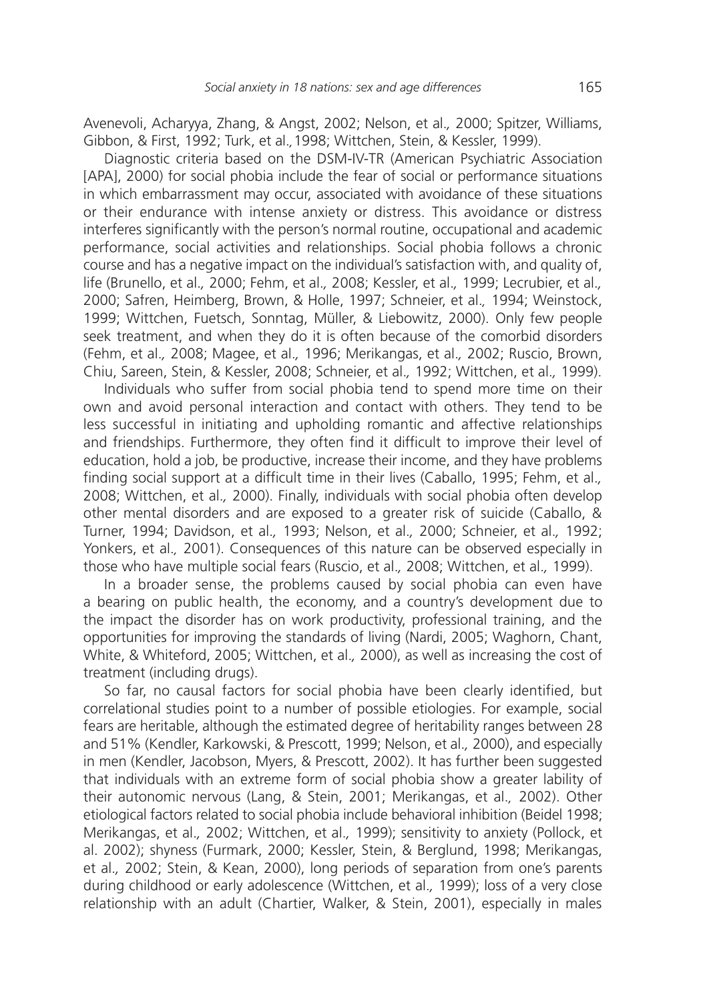Avenevoli, Acharyya, Zhang, & Angst, 2002; Nelson, et al.*,* 2000; Spitzer, Williams, Gibbon, & First, 1992; Turk, et al.*,*1998; Wittchen, Stein, & Kessler, 1999).

Diagnostic criteria based on the DSM-IV-TR (American Psychiatric Association [APA], 2000) for social phobia include the fear of social or performance situations in which embarrassment may occur, associated with avoidance of these situations or their endurance with intense anxiety or distress. This avoidance or distress interferes significantly with the person's normal routine, occupational and academic performance, social activities and relationships. Social phobia follows a chronic course and has a negative impact on the individual's satisfaction with, and quality of, life (Brunello, et al.*,* 2000; Fehm, et al.*,* 2008; Kessler, et al.*,* 1999; Lecrubier, et al.*,* 2000; Safren, Heimberg, Brown, & Holle, 1997; Schneier, et al.*,* 1994; Weinstock, 1999; Wittchen, Fuetsch, Sonntag, Müller, & Liebowitz, 2000). Only few people seek treatment, and when they do it is often because of the comorbid disorders (Fehm, et al.*,* 2008; Magee, et al.*,* 1996; Merikangas, et al.*,* 2002; Ruscio, Brown, Chiu, Sareen, Stein, & Kessler, 2008; Schneier, et al.*,* 1992; Wittchen, et al.*,* 1999).

Individuals who suffer from social phobia tend to spend more time on their own and avoid personal interaction and contact with others. They tend to be less successful in initiating and upholding romantic and affective relationships and friendships. Furthermore, they often find it difficult to improve their level of education, hold a job, be productive, increase their income, and they have problems finding social support at a difficult time in their lives (Caballo, 1995; Fehm, et al.*,* 2008; Wittchen, et al.*,* 2000). Finally, individuals with social phobia often develop other mental disorders and are exposed to a greater risk of suicide (Caballo, & Turner, 1994; Davidson, et al.*,* 1993; Nelson, et al.*,* 2000; Schneier, et al.*,* 1992; Yonkers, et al.*,* 2001). Consequences of this nature can be observed especially in those who have multiple social fears (Ruscio, et al.*,* 2008; Wittchen, et al.*,* 1999).

In a broader sense, the problems caused by social phobia can even have a bearing on public health, the economy, and a country's development due to the impact the disorder has on work productivity, professional training, and the opportunities for improving the standards of living (Nardi, 2005; Waghorn, Chant, White, & Whiteford, 2005; Wittchen, et al.*,* 2000), as well as increasing the cost of treatment (including drugs).

So far, no causal factors for social phobia have been clearly identified, but correlational studies point to a number of possible etiologies. For example, social fears are heritable, although the estimated degree of heritability ranges between 28 and 51% (Kendler, Karkowski, & Prescott, 1999; Nelson, et al.*,* 2000), and especially in men (Kendler, Jacobson, Myers, & Prescott, 2002). It has further been suggested that individuals with an extreme form of social phobia show a greater lability of their autonomic nervous (Lang, & Stein, 2001; Merikangas, et al.*,* 2002). Other etiological factors related to social phobia include behavioral inhibition (Beidel 1998; Merikangas, et al.*,* 2002; Wittchen, et al.*,* 1999); sensitivity to anxiety (Pollock, et al. 2002); shyness (Furmark, 2000; Kessler, Stein, & Berglund, 1998; Merikangas, et al.*,* 2002; Stein, & Kean, 2000), long periods of separation from one's parents during childhood or early adolescence (Wittchen, et al.*,* 1999); loss of a very close relationship with an adult (Chartier, Walker, & Stein, 2001), especially in males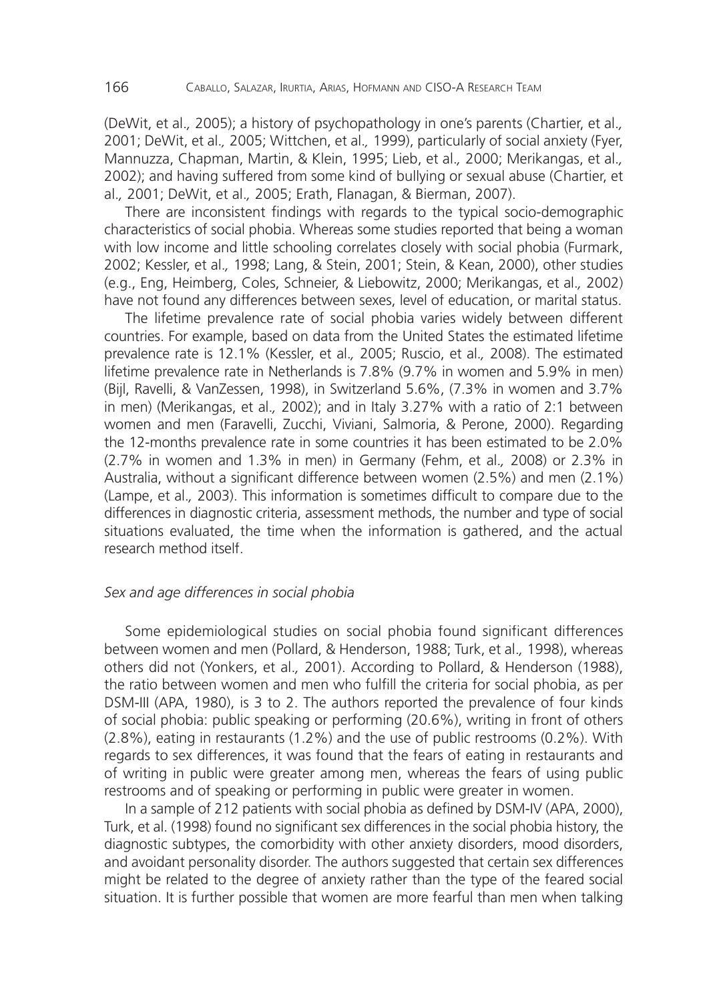(DeWit, et al.*,* 2005); a history of psychopathology in one's parents (Chartier, et al.*,* 2001; DeWit, et al.*,* 2005; Wittchen, et al.*,* 1999), particularly of social anxiety (Fyer, Mannuzza, Chapman, Martin, & Klein, 1995; Lieb, et al.*,* 2000; Merikangas, et al.*,* 2002); and having suffered from some kind of bullying or sexual abuse (Chartier, et al.*,* 2001; DeWit, et al.*,* 2005; Erath, Flanagan, & Bierman, 2007).

There are inconsistent findings with regards to the typical socio-demographic characteristics of social phobia. Whereas some studies reported that being a woman with low income and little schooling correlates closely with social phobia (Furmark, 2002; Kessler, et al.*,* 1998; Lang, & Stein, 2001; Stein, & Kean, 2000), other studies (e.g., Eng, Heimberg, Coles, Schneier, & Liebowitz, 2000; Merikangas, et al.*,* 2002) have not found any differences between sexes, level of education, or marital status.

The lifetime prevalence rate of social phobia varies widely between different countries. For example, based on data from the United States the estimated lifetime prevalence rate is 12.1% (Kessler, et al.*,* 2005; Ruscio, et al.*,* 2008). The estimated lifetime prevalence rate in Netherlands is 7.8% (9.7% in women and 5.9% in men) (Bijl, Ravelli, & VanZessen, 1998), in Switzerland 5.6%, (7.3% in women and 3.7% in men) (Merikangas, et al.*,* 2002); and in Italy 3.27% with a ratio of 2:1 between women and men (Faravelli, Zucchi, Viviani, Salmoria, & Perone, 2000). Regarding the 12-months prevalence rate in some countries it has been estimated to be 2.0% (2.7% in women and 1.3% in men) in Germany (Fehm, et al.*,* 2008) or 2.3% in Australia, without a significant difference between women (2.5%) and men (2.1%) (Lampe, et al.*,* 2003). This information is sometimes difficult to compare due to the differences in diagnostic criteria, assessment methods, the number and type of social situations evaluated, the time when the information is gathered, and the actual research method itself.

# *Sex and age differences in social phobia*

Some epidemiological studies on social phobia found significant differences between women and men (Pollard, & Henderson, 1988; Turk, et al.*,* 1998), whereas others did not (Yonkers, et al.*,* 2001). According to Pollard, & Henderson (1988), the ratio between women and men who fulfill the criteria for social phobia, as per DSM-III (APA, 1980), is 3 to 2. The authors reported the prevalence of four kinds of social phobia: public speaking or performing (20.6%), writing in front of others (2.8%), eating in restaurants (1.2%) and the use of public restrooms (0.2%). With regards to sex differences, it was found that the fears of eating in restaurants and of writing in public were greater among men, whereas the fears of using public restrooms and of speaking or performing in public were greater in women.

In a sample of 212 patients with social phobia as defined by DSM-IV (APA, 2000), Turk, et al. (1998) found no significant sex differences in the social phobia history, the diagnostic subtypes, the comorbidity with other anxiety disorders, mood disorders, and avoidant personality disorder. The authors suggested that certain sex differences might be related to the degree of anxiety rather than the type of the feared social situation. It is further possible that women are more fearful than men when talking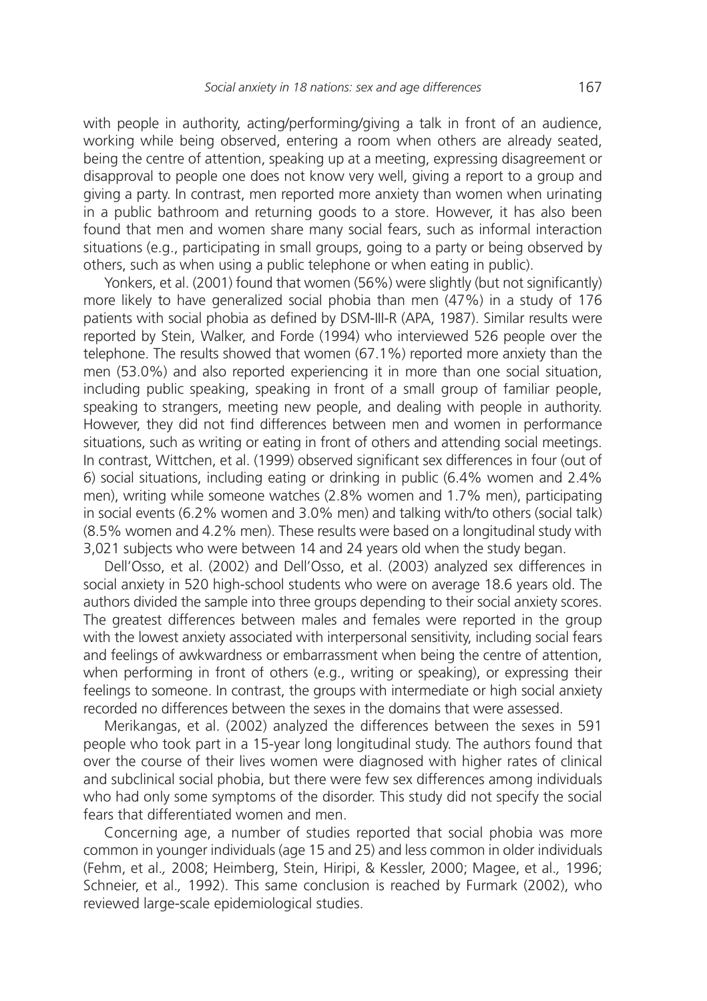with people in authority, acting/performing/giving a talk in front of an audience, working while being observed, entering a room when others are already seated, being the centre of attention, speaking up at a meeting, expressing disagreement or disapproval to people one does not know very well, giving a report to a group and giving a party. In contrast, men reported more anxiety than women when urinating in a public bathroom and returning goods to a store. However, it has also been found that men and women share many social fears, such as informal interaction situations (e.g., participating in small groups, going to a party or being observed by others, such as when using a public telephone or when eating in public).

Yonkers, et al. (2001) found that women (56%) were slightly (but not significantly) more likely to have generalized social phobia than men (47%) in a study of 176 patients with social phobia as defined by DSM-III-R (APA, 1987). Similar results were reported by Stein, Walker, and Forde (1994) who interviewed 526 people over the telephone. The results showed that women (67.1%) reported more anxiety than the men (53.0%) and also reported experiencing it in more than one social situation, including public speaking, speaking in front of a small group of familiar people, speaking to strangers, meeting new people, and dealing with people in authority. However, they did not find differences between men and women in performance situations, such as writing or eating in front of others and attending social meetings. In contrast, Wittchen, et al. (1999) observed significant sex differences in four (out of 6) social situations, including eating or drinking in public (6.4% women and 2.4% men), writing while someone watches (2.8% women and 1.7% men), participating in social events (6.2% women and 3.0% men) and talking with/to others (social talk) (8.5% women and 4.2% men). These results were based on a longitudinal study with 3,021 subjects who were between 14 and 24 years old when the study began.

Dell'Osso, et al. (2002) and Dell'Osso, et al. (2003) analyzed sex differences in social anxiety in 520 high-school students who were on average 18.6 years old. The authors divided the sample into three groups depending to their social anxiety scores. The greatest differences between males and females were reported in the group with the lowest anxiety associated with interpersonal sensitivity, including social fears and feelings of awkwardness or embarrassment when being the centre of attention, when performing in front of others (e.g., writing or speaking), or expressing their feelings to someone. In contrast, the groups with intermediate or high social anxiety recorded no differences between the sexes in the domains that were assessed.

Merikangas, et al. (2002) analyzed the differences between the sexes in 591 people who took part in a 15-year long longitudinal study. The authors found that over the course of their lives women were diagnosed with higher rates of clinical and subclinical social phobia, but there were few sex differences among individuals who had only some symptoms of the disorder. This study did not specify the social fears that differentiated women and men.

Concerning age, a number of studies reported that social phobia was more common in younger individuals (age 15 and 25) and less common in older individuals (Fehm, et al.*,* 2008; Heimberg, Stein, Hiripi, & Kessler, 2000; Magee, et al.*,* 1996; Schneier, et al.*,* 1992). This same conclusion is reached by Furmark (2002), who reviewed large-scale epidemiological studies.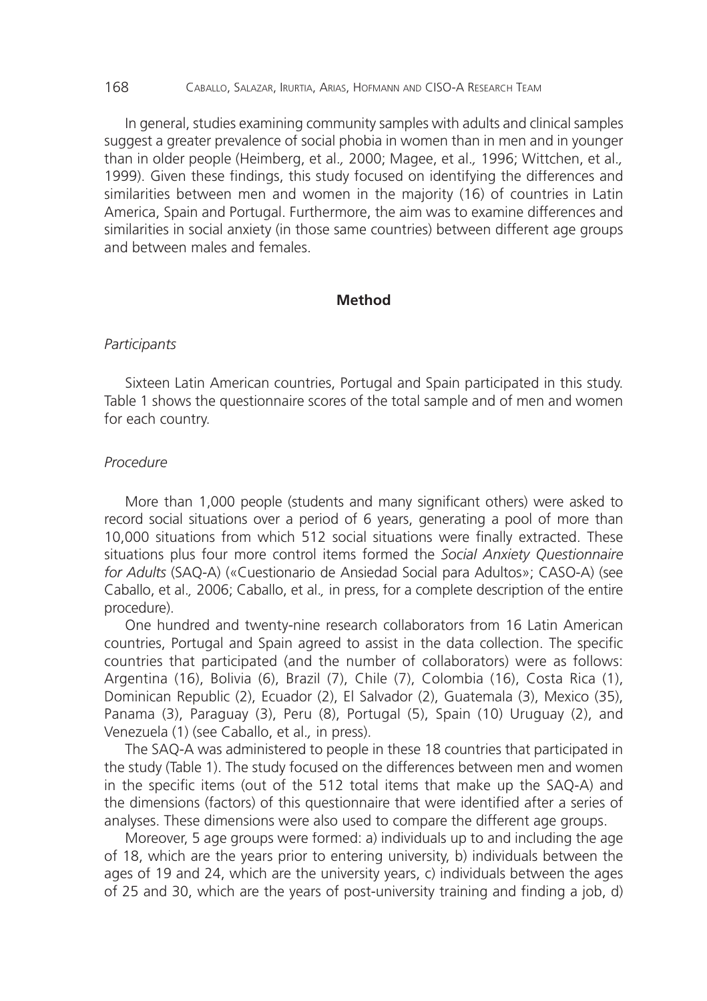#### 168 CABALLO, SALAZAR, IRURTIA, ARIAS, HOFMANN AND CISO-A RESEARCH TEAM

In general, studies examining community samples with adults and clinical samples suggest a greater prevalence of social phobia in women than in men and in younger than in older people (Heimberg, et al.*,* 2000; Magee, et al.*,* 1996; Wittchen, et al.*,* 1999). Given these findings, this study focused on identifying the differences and similarities between men and women in the majority (16) of countries in Latin America, Spain and Portugal. Furthermore, the aim was to examine differences and similarities in social anxiety (in those same countries) between different age groups and between males and females.

### **Method**

#### *Participants*

Sixteen Latin American countries, Portugal and Spain participated in this study. Table 1 shows the questionnaire scores of the total sample and of men and women for each country.

## *Procedure*

More than 1,000 people (students and many significant others) were asked to record social situations over a period of 6 years, generating a pool of more than 10,000 situations from which 512 social situations were finally extracted. These situations plus four more control items formed the *Social Anxiety Questionnaire for Adults* (SAQ-A) («Cuestionario de Ansiedad Social para Adultos»; CASO-A) (see Caballo, et al.*,* 2006; Caballo, et al.*,* in press, for a complete description of the entire procedure).

One hundred and twenty-nine research collaborators from 16 Latin American countries, Portugal and Spain agreed to assist in the data collection. The specific countries that participated (and the number of collaborators) were as follows: Argentina (16), Bolivia (6), Brazil (7), Chile (7), Colombia (16), Costa Rica (1), Dominican Republic (2), Ecuador (2), El Salvador (2), Guatemala (3), Mexico (35), Panama (3), Paraguay (3), Peru (8), Portugal (5), Spain (10) Uruguay (2), and Venezuela (1) (see Caballo, et al.*,* in press).

The SAQ-A was administered to people in these 18 countries that participated in the study (Table 1). The study focused on the differences between men and women in the specific items (out of the 512 total items that make up the SAQ-A) and the dimensions (factors) of this questionnaire that were identified after a series of analyses. These dimensions were also used to compare the different age groups.

Moreover, 5 age groups were formed: a) individuals up to and including the age of 18, which are the years prior to entering university, b) individuals between the ages of 19 and 24, which are the university years, c) individuals between the ages of 25 and 30, which are the years of post-university training and finding a job, d)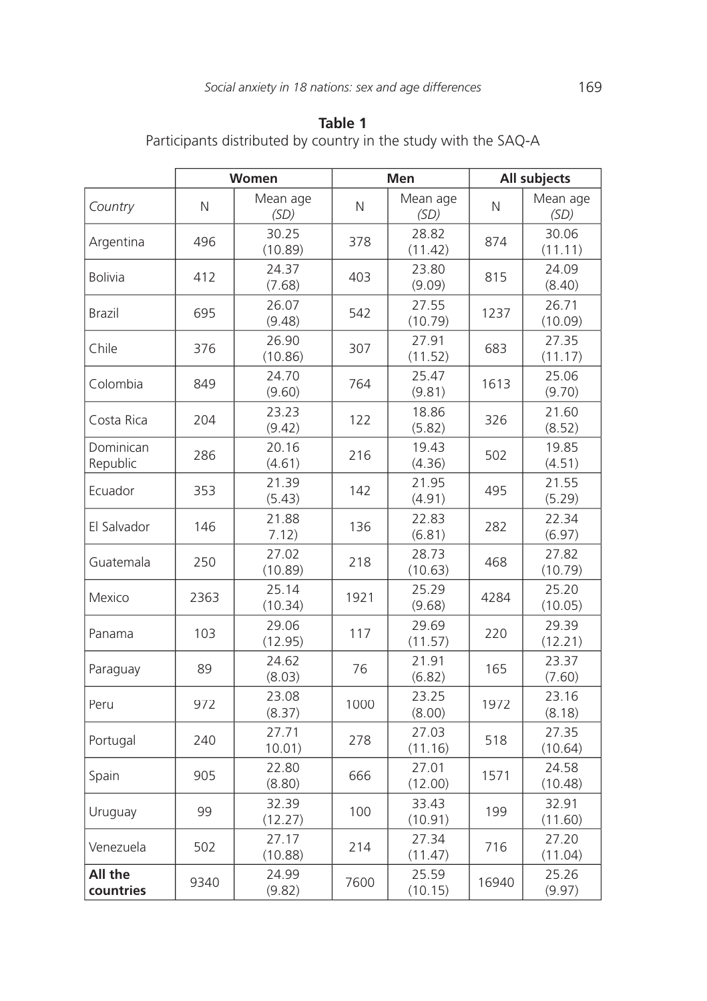Participants distributed by country in the study with the SAQ-A

|                       |      | Women            |            | Men              | All subjects |                  |  |
|-----------------------|------|------------------|------------|------------------|--------------|------------------|--|
| Country               | N    | Mean age<br>(SD) | $\hbox{N}$ | Mean age<br>(SD) |              | Mean age<br>(SD) |  |
| Argentina             | 496  | 30.25<br>(10.89) | 378        | 28.82<br>(11.42) | 874          | 30.06<br>(11.11) |  |
| <b>Bolivia</b>        | 412  | 24.37<br>(7.68)  | 403        | 23.80<br>(9.09)  | 815          | 24.09<br>(8.40)  |  |
| Brazil                | 695  | 26.07<br>(9.48)  | 542        | 27.55<br>(10.79) | 1237         | 26.71<br>(10.09) |  |
| Chile                 | 376  | 26.90<br>(10.86) | 307        | 27.91<br>(11.52) | 683          | 27.35<br>(11.17) |  |
| Colombia              | 849  | 24.70<br>(9.60)  | 764        | 25.47<br>(9.81)  | 1613         | 25.06<br>(9.70)  |  |
| Costa Rica            | 204  | 23.23<br>(9.42)  | 122        | 18.86<br>(5.82)  | 326          | 21.60<br>(8.52)  |  |
| Dominican<br>Republic | 286  | 20.16<br>(4.61)  | 216        | 19.43<br>(4.36)  | 502          | 19.85<br>(4.51)  |  |
| Ecuador               | 353  | 21.39<br>(5.43)  | 142        | 21.95<br>(4.91)  | 495          | 21.55<br>(5.29)  |  |
| El Salvador           | 146  | 21.88<br>7.12)   | 136        | 22.83<br>(6.81)  | 282          | 22.34<br>(6.97)  |  |
| Guatemala             | 250  | 27.02<br>(10.89) | 218        | 28.73<br>(10.63) | 468          | 27.82<br>(10.79) |  |
| Mexico                | 2363 | 25.14<br>(10.34) | 1921       | 25.29<br>(9.68)  | 4284         | 25.20<br>(10.05) |  |
| Panama                | 103  | 29.06<br>(12.95) | 117        | 29.69<br>(11.57) | 220          | 29.39<br>(12.21) |  |
| Paraguay              | 89   | 24.62<br>(8.03)  | 76         | 21.91<br>(6.82)  | 165          | 23.37<br>(7.60)  |  |
| Peru                  | 972  | 23.08<br>(8.37)  | 1000       | 23.25<br>(8.00)  | 1972         | 23.16<br>(8.18)  |  |
| Portugal              | 240  | 27.71<br>10.01)  | 278        | 27.03<br>(11.16) | 518          | 27.35<br>(10.64) |  |
| Spain                 | 905  | 22.80<br>(8.80)  | 666        | 27.01<br>(12.00) | 1571         | 24.58<br>(10.48) |  |
| Uruguay               | 99   | 32.39<br>(12.27) | 100        | 33.43<br>(10.91) | 199          | 32.91<br>(11.60) |  |
| Venezuela             | 502  | 27.17<br>(10.88) | 214        | 27.34<br>(11.47) | 716          | 27.20<br>(11.04) |  |
| All the<br>countries  | 9340 | 24.99<br>(9.82)  | 7600       | 25.59<br>(10.15) | 16940        | 25.26<br>(9.97)  |  |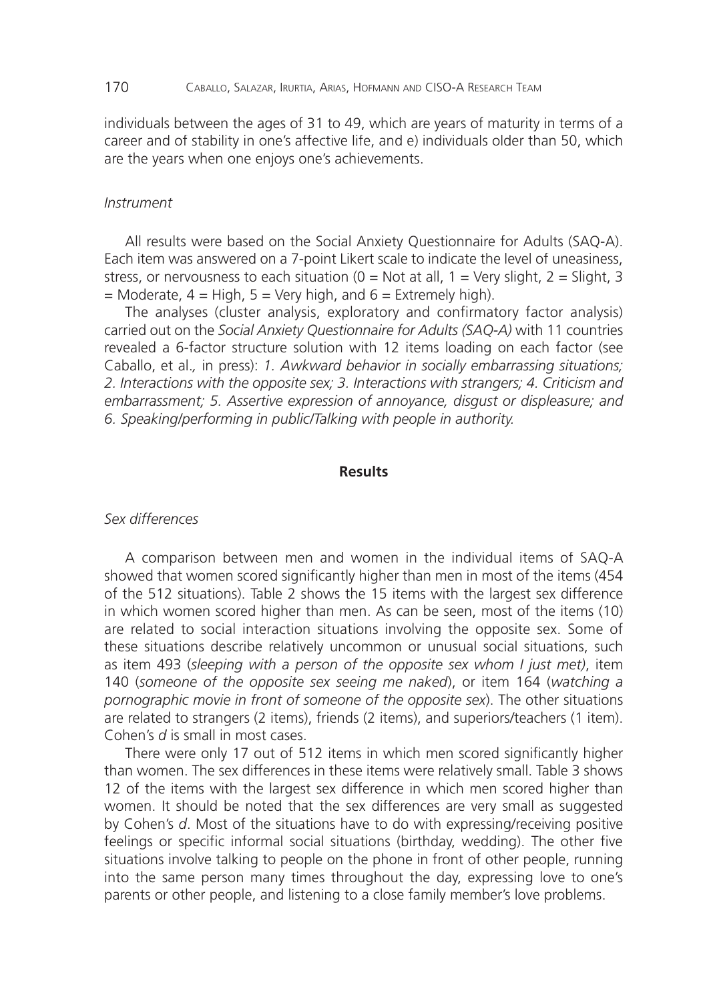individuals between the ages of 31 to 49, which are years of maturity in terms of a career and of stability in one's affective life, and e) individuals older than 50, which are the years when one enjoys one's achievements.

#### *Instrument*

All results were based on the Social Anxiety Questionnaire for Adults (SAQ-A). Each item was answered on a 7-point Likert scale to indicate the level of uneasiness, stress, or nervousness to each situation ( $0 = Not$  at all,  $1 = Very$  slight,  $2 = Slight$ ,  $3$  $=$  Moderate,  $4 =$  High,  $5 =$  Very high, and  $6 =$  Extremely high).

The analyses (cluster analysis, exploratory and confirmatory factor analysis) carried out on the *Social Anxiety Questionnaire for Adults (SAQ-A)* with 11 countries revealed a 6-factor structure solution with 12 items loading on each factor (see Caballo, et al.*,* in press): *1. Awkward behavior in socially embarrassing situations; 2. Interactions with the opposite sex; 3. Interactions with strangers; 4. Criticism and embarrassment; 5. Assertive expression of annoyance, disgust or displeasure; and 6. Speaking/performing in public/Talking with people in authority.*

### **Results**

### *Sex differences*

A comparison between men and women in the individual items of SAQ-A showed that women scored significantly higher than men in most of the items (454 of the 512 situations). Table 2 shows the 15 items with the largest sex difference in which women scored higher than men. As can be seen, most of the items (10) are related to social interaction situations involving the opposite sex. Some of these situations describe relatively uncommon or unusual social situations, such as item 493 (*sleeping with a person of the opposite sex whom I just met)*, item 140 (someone of the opposite sex seeing me naked), or item 164 (watching a *pornographic movie in front of someone of the opposite sex*). The other situations are related to strangers (2 items), friends (2 items), and superiors/teachers (1 item). Cohen's *d* is small in most cases.

There were only 17 out of 512 items in which men scored significantly higher than women. The sex differences in these items were relatively small. Table 3 shows 12 of the items with the largest sex difference in which men scored higher than women. It should be noted that the sex differences are very small as suggested by Cohen's *d*. Most of the situations have to do with expressing/receiving positive feelings or specific informal social situations (birthday, wedding). The other five situations involve talking to people on the phone in front of other people, running into the same person many times throughout the day, expressing love to one's parents or other people, and listening to a close family member's love problems.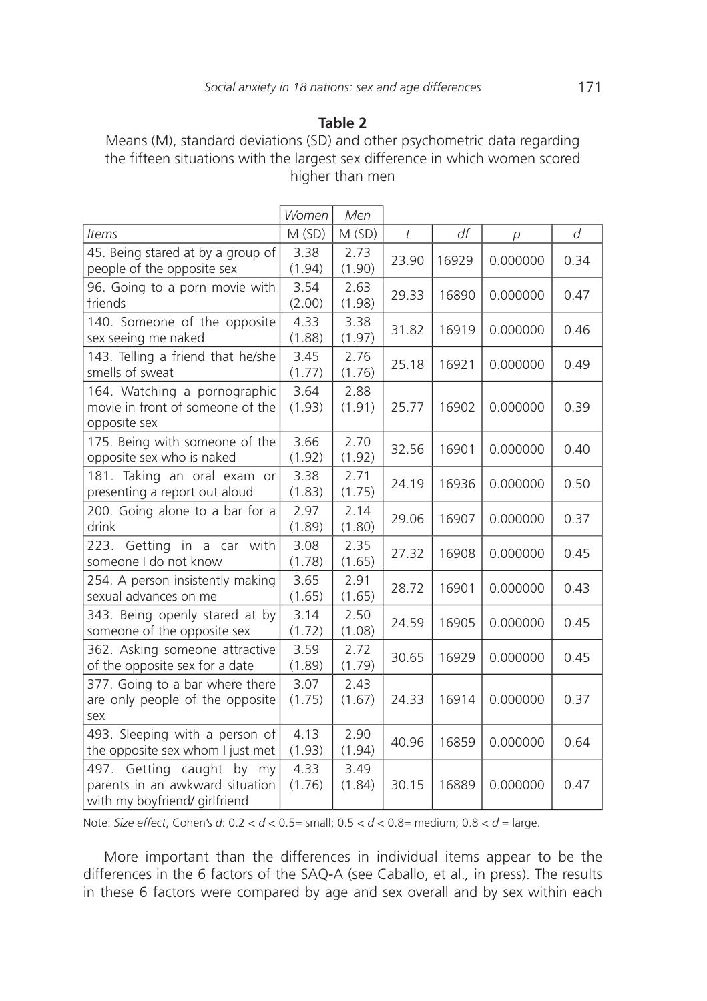Means (M), standard deviations (SD) and other psychometric data regarding the fifteen situations with the largest sex difference in which women scored higher than men

|                                                                                                  | Women          | Men            |                |       |          |      |
|--------------------------------------------------------------------------------------------------|----------------|----------------|----------------|-------|----------|------|
| Items                                                                                            | M(SD)          | M(SD)          | $\mathfrak{t}$ | df    | р        | d    |
| 45. Being stared at by a group of<br>people of the opposite sex                                  | 3.38<br>(1.94) | 2.73<br>(1.90) | 23.90          | 16929 | 0.000000 | 0.34 |
| 96. Going to a porn movie with<br>friends                                                        | 3.54<br>(2.00) | 2.63<br>(1.98) | 29.33          | 16890 | 0.000000 | 0.47 |
| 140. Someone of the opposite<br>sex seeing me naked                                              | 4.33<br>(1.88) | 3.38<br>(1.97) | 31.82          | 16919 | 0.000000 | 0.46 |
| 143. Telling a friend that he/she<br>smells of sweat                                             | 3.45<br>(1.77) | 2.76<br>(1.76) | 25.18          | 16921 | 0.000000 | 0.49 |
| 164. Watching a pornographic<br>movie in front of someone of the<br>opposite sex                 | 3.64<br>(1.93) | 2.88<br>(1.91) | 25.77          | 16902 | 0.000000 | 0.39 |
| 175. Being with someone of the<br>opposite sex who is naked                                      | 3.66<br>(1.92) | 2.70<br>(1.92) | 32.56          | 16901 | 0.000000 | 0.40 |
| 181. Taking an oral exam or<br>presenting a report out aloud                                     | 3.38<br>(1.83) | 2.71<br>(1.75) | 24.19          | 16936 | 0.000000 | 0.50 |
| 200. Going alone to a bar for a<br>drink                                                         | 2.97<br>(1.89) | 2.14<br>(1.80) | 29.06          | 16907 | 0.000000 | 0.37 |
| 223. Getting in a car with<br>someone I do not know                                              | 3.08<br>(1.78) | 2.35<br>(1.65) | 27.32          | 16908 | 0.000000 | 0.45 |
| 254. A person insistently making<br>sexual advances on me                                        | 3.65<br>(1.65) | 2.91<br>(1.65) | 28.72          | 16901 | 0.000000 | 0.43 |
| 343. Being openly stared at by<br>someone of the opposite sex                                    | 3.14<br>(1.72) | 2.50<br>(1.08) | 24.59          | 16905 | 0.000000 | 0.45 |
| 362. Asking someone attractive<br>of the opposite sex for a date                                 | 3.59<br>(1.89) | 2.72<br>(1.79) | 30.65          | 16929 | 0.000000 | 0.45 |
| 377. Going to a bar where there<br>are only people of the opposite<br>sex                        | 3.07<br>(1.75) | 2.43<br>(1.67) | 24.33          | 16914 | 0.000000 | 0.37 |
| 493. Sleeping with a person of<br>the opposite sex whom I just met                               | 4.13<br>(1.93) | 2.90<br>(1.94) | 40.96          | 16859 | 0.000000 | 0.64 |
| Getting caught by my<br>497.<br>parents in an awkward situation<br>with my boyfriend/ girlfriend | 4.33<br>(1.76) | 3.49<br>(1.84) | 30.15          | 16889 | 0.000000 | 0.47 |

Note: *Size effect*, Cohen's *d*: 0.2 < *d* < 0.5= small; 0.5 < *d* < 0.8= medium; 0.8 < *d* = large.

More important than the differences in individual items appear to be the differences in the 6 factors of the SAQ-A (see Caballo, et al.*,* in press). The results in these 6 factors were compared by age and sex overall and by sex within each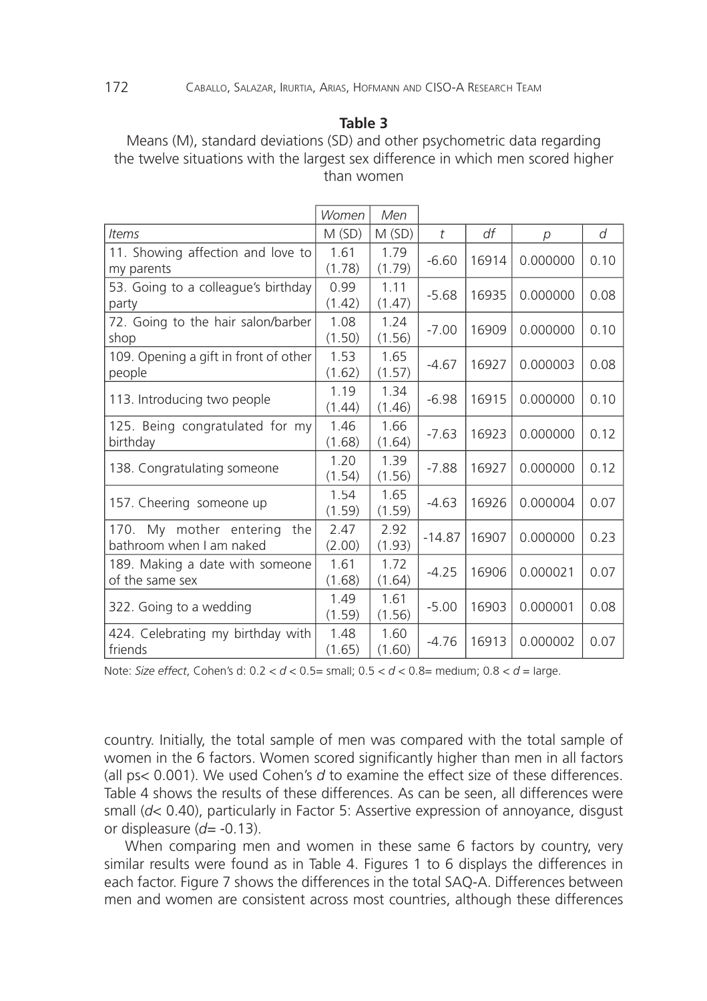Means (M), standard deviations (SD) and other psychometric data regarding the twelve situations with the largest sex difference in which men scored higher than women

|                                                            | Women          | Men            |           |       |          |      |
|------------------------------------------------------------|----------------|----------------|-----------|-------|----------|------|
| Items                                                      | M(SD)          | M(SD)          | $\bar{t}$ | df    | p        | d    |
| 11. Showing affection and love to<br>my parents            | 1.61<br>(1.78) | 1.79<br>(1.79) | $-6.60$   | 16914 | 0.000000 | 0.10 |
| 53. Going to a colleague's birthday<br>party               | 0.99<br>(1.42) | 1.11<br>(1.47) | $-5.68$   | 16935 | 0.000000 | 0.08 |
| 72. Going to the hair salon/barber<br>shop                 | 1.08<br>(1.50) | 1.24<br>(1.56) | $-7.00$   | 16909 | 0.000000 | 0.10 |
| 109. Opening a gift in front of other<br>people            | 1.53<br>(1.62) | 1.65<br>(1.57) | $-4.67$   | 16927 | 0.000003 | 0.08 |
| 113. Introducing two people                                | 1.19<br>(1.44) | 1.34<br>(1.46) | $-6.98$   | 16915 | 0.000000 | 0.10 |
| 125. Being congratulated for my<br>birthday                | 1.46<br>(1.68) | 1.66<br>(1.64) | $-7.63$   | 16923 | 0.000000 | 0.12 |
| 138. Congratulating someone                                | 1.20<br>(1.54) | 1.39<br>(1.56) | $-7.88$   | 16927 | 0.000000 | 0.12 |
| 157. Cheering someone up                                   | 1.54<br>(1.59) | 1.65<br>(1.59) | $-4.63$   | 16926 | 0.000004 | 0.07 |
| 170. My mother entering<br>the<br>bathroom when I am naked | 2.47<br>(2.00) | 2.92<br>(1.93) | $-14.87$  | 16907 | 0.000000 | 0.23 |
| 189. Making a date with someone<br>of the same sex         | 1.61<br>(1.68) | 1.72<br>(1.64) | $-4.25$   | 16906 | 0.000021 | 0.07 |
| 322. Going to a wedding                                    | 1.49<br>(1.59) | 1.61<br>(1.56) | $-5.00$   | 16903 | 0.000001 | 0.08 |
| 424. Celebrating my birthday with<br>friends               | 1.48<br>(1.65) | 1.60<br>(1.60) | $-4.76$   | 16913 | 0.000002 | 0.07 |

Note: *Size effect*, Cohen's d: 0.2 < *d* < 0.5= small; 0.5 < *d* < 0.8= medium; 0.8 < *d* = large.

country. Initially, the total sample of men was compared with the total sample of women in the 6 factors. Women scored significantly higher than men in all factors (all ps< 0.001). We used Cohen's *d* to examine the effect size of these differences. Table 4 shows the results of these differences. As can be seen, all differences were small (*d*< 0.40), particularly in Factor 5: Assertive expression of annoyance, disgust or displeasure (*d=* -0.13).

When comparing men and women in these same 6 factors by country, very similar results were found as in Table 4. Figures 1 to 6 displays the differences in each factor. Figure 7 shows the differences in the total SAQ-A. Differences between men and women are consistent across most countries, although these differences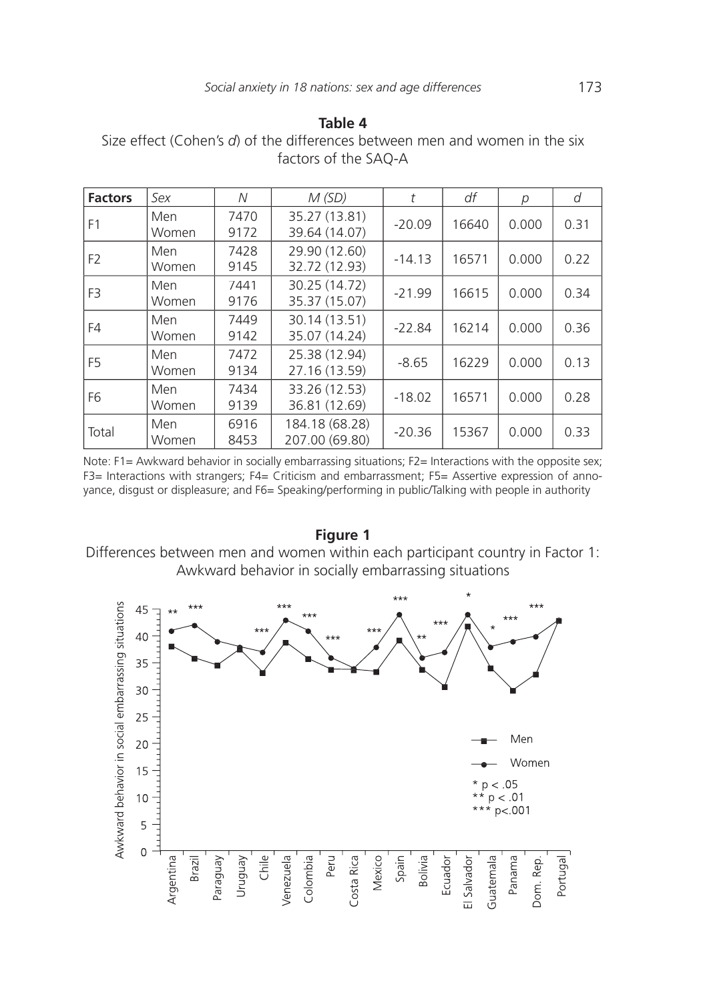Size effect (Cohen's d) of the differences between men and women in the six factors of the SAQ-A

| <b>Factors</b> | Sex          | N            | M(SD)                            | t        | df    | р     | d    |
|----------------|--------------|--------------|----------------------------------|----------|-------|-------|------|
| F1             | Men<br>Women | 7470<br>9172 | 35.27 (13.81)<br>39.64 (14.07)   | $-20.09$ | 16640 | 0.000 | 0.31 |
| F <sub>2</sub> | Men<br>Women | 7428<br>9145 | 29.90 (12.60)<br>32.72 (12.93)   | $-14.13$ | 16571 | 0.000 | 0.22 |
| F <sub>3</sub> | Men<br>Women | 7441<br>9176 | 30.25 (14.72)<br>35.37 (15.07)   | $-21.99$ | 16615 | 0.000 | 0.34 |
| F4             | Men<br>Women | 7449<br>9142 | 30.14 (13.51)<br>35.07 (14.24)   | $-22.84$ | 16214 | 0.000 | 0.36 |
| F5             | Men<br>Women | 7472<br>9134 | 25.38 (12.94)<br>27.16 (13.59)   | $-8.65$  | 16229 | 0.000 | 0.13 |
| F6             | Men<br>Women | 7434<br>9139 | 33.26 (12.53)<br>36.81 (12.69)   | $-18.02$ | 16571 | 0.000 | 0.28 |
| Total          | Men<br>Women | 6916<br>8453 | 184.18 (68.28)<br>207.00 (69.80) | $-20.36$ | 15367 | 0.000 | 0.33 |

Note: F1= Awkward behavior in socially embarrassing situations; F2= Interactions with the opposite sex; F3= Interactions with strangers; F4= Criticism and embarrassment; F5= Assertive expression of annoyance, disgust or displeasure; and F6= Speaking/performing in public/Talking with people in authority

**Figure 1** Differences between men and women within each participant country in Factor 1: Awkward behavior in socially embarrassing situations

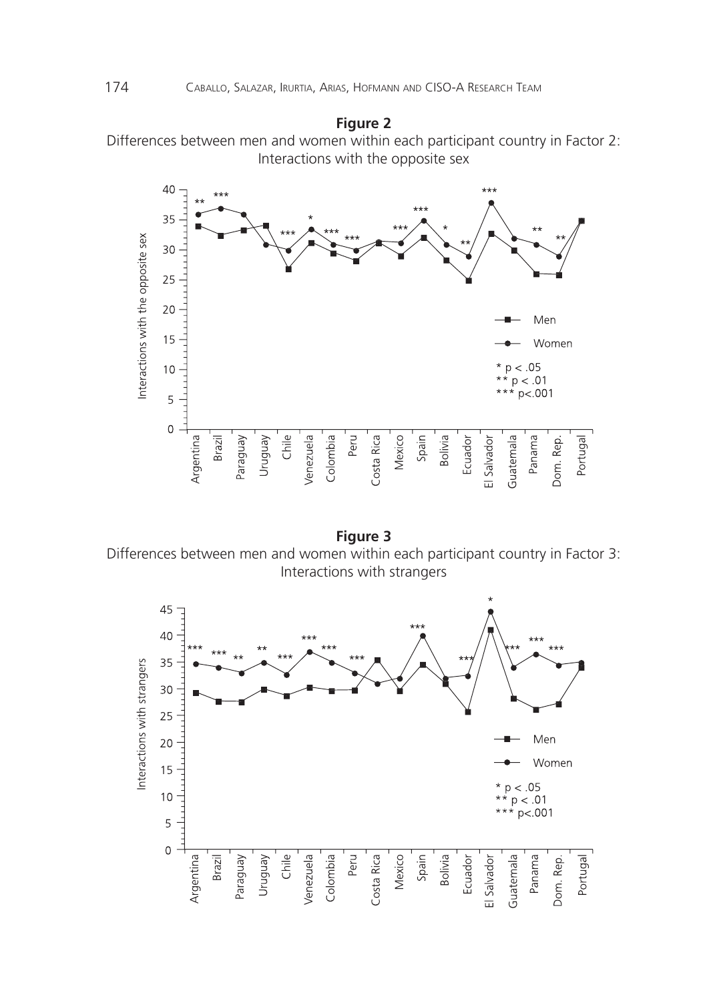# **Figure 2**

Differences between men and women within each participant country in Factor 2: Interactions with the opposite sex



**Figure 3** Differences between men and women within each participant country in Factor 3: Interactions with strangers

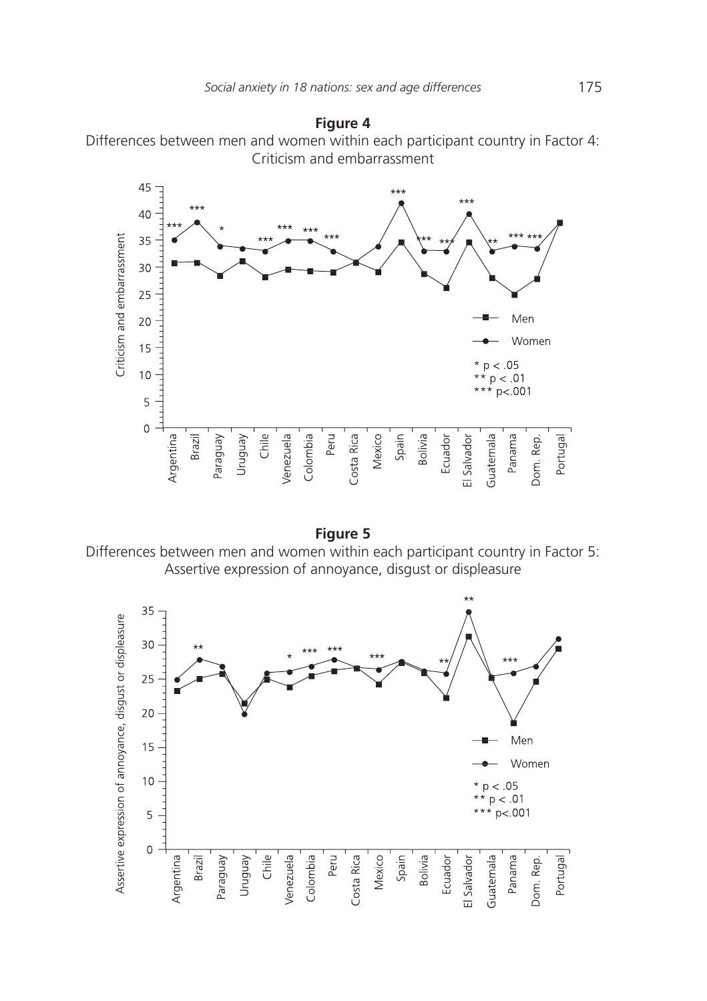



**Figure 5** Differences between men and women within each participant country in Factor 5: Assertive expression of annoyance, disgust or displeasure

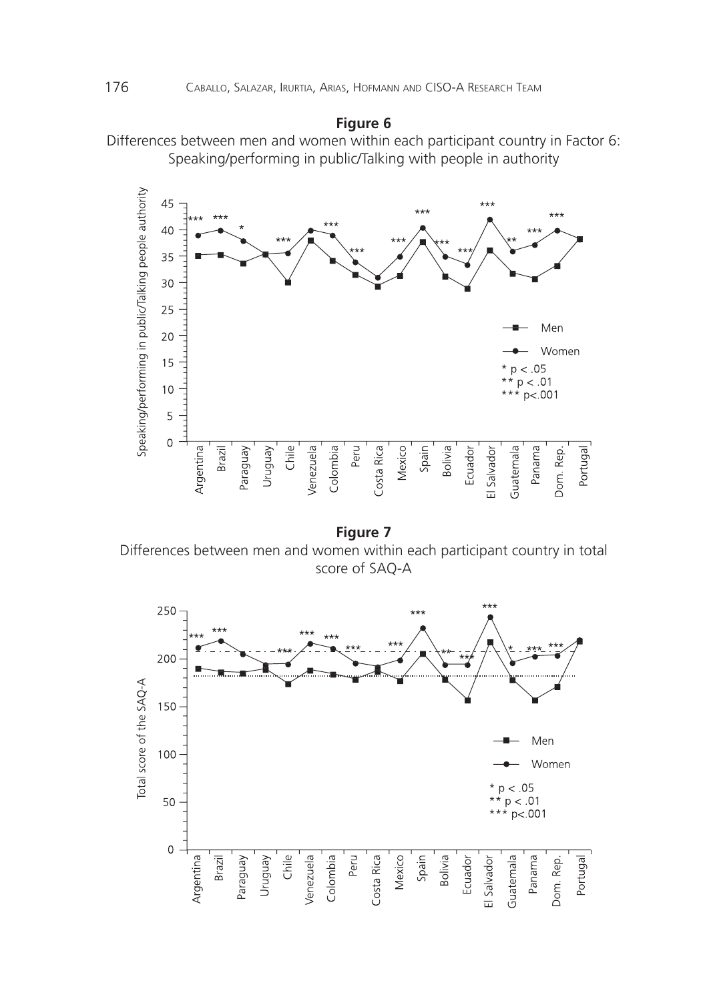# **Figure 6**

Differences between men and women within each participant country in Factor 6: Speaking/performing in public/Talking with people in authority



**Figure 7** Differences between men and women within each participant country in total score of SAQ-A

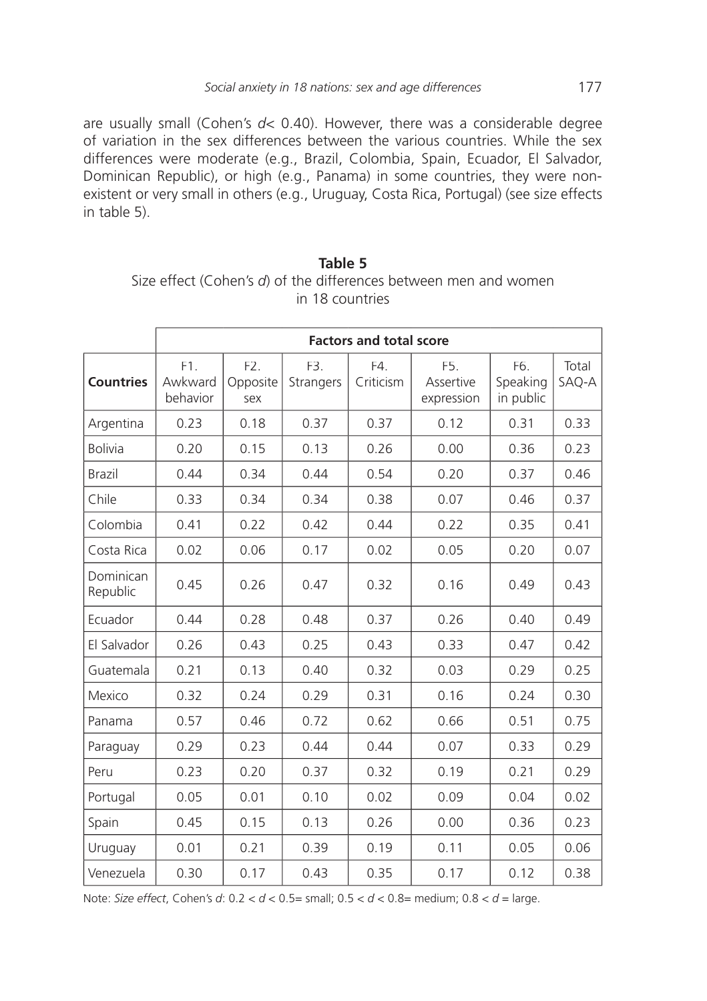are usually small (Cohen's *d*< 0.40). However, there was a considerable degree of variation in the sex differences between the various countries. While the sex differences were moderate (e.g., Brazil, Colombia, Spain, Ecuador, El Salvador, Dominican Republic), or high (e.g., Panama) in some countries, they were nonexistent or very small in others (e.g., Uruguay, Costa Rica, Portugal) (see size effects in table 5).

**Table 5** Size effect (Cohen's *d*) of the differences between men and women in 18 countries

|                       | <b>Factors and total score</b> |                                     |                  |                 |                                             |                              |                |
|-----------------------|--------------------------------|-------------------------------------|------------------|-----------------|---------------------------------------------|------------------------------|----------------|
| <b>Countries</b>      | F1.<br>Awkward<br>behavior     | F <sub>2</sub> .<br>Opposite<br>sex | F3.<br>Strangers | F4<br>Criticism | F <sub>5</sub> .<br>Assertive<br>expression | F6.<br>Speaking<br>in public | Total<br>SAQ-A |
| Argentina             | 0.23                           | 0.18                                | 0.37             | 0.37            | 0.12                                        | 0.31                         | 0.33           |
| <b>Bolivia</b>        | 0.20                           | 0.15                                | 0.13             | 0.26            | 0.00                                        | 0.36                         | 0.23           |
| <b>Brazil</b>         | 0.44                           | 0.34                                | 0.44             | 0.54            | 0.20                                        | 0.37                         | 0.46           |
| Chile                 | 0.33                           | 0.34                                | 0.34             | 0.38            | 0.07                                        | 0.46                         | 0.37           |
| Colombia              | 0.41                           | 0.22                                | 0.42             | 0.44            | 0.22                                        | 0.35                         | 0.41           |
| Costa Rica            | 0.02                           | 0.06                                | 0.17             | 0.02            | 0.05                                        | 0.20                         | 0.07           |
| Dominican<br>Republic | 0.45                           | 0.26                                | 0.47             | 0.32            | 0.16                                        | 0.49                         | 0.43           |
| Ecuador               | 0.44                           | 0.28                                | 0.48             | 0.37            | 0.26                                        | 0.40                         | 0.49           |
| El Salvador           | 0.26                           | 0.43                                | 0.25             | 0.43            | 0.33                                        | 0.47                         | 0.42           |
| Guatemala             | 0.21                           | 0.13                                | 0.40             | 0.32            | 0.03                                        | 0.29                         | 0.25           |
| Mexico                | 0.32                           | 0.24                                | 0.29             | 0.31            | 0.16                                        | 0.24                         | 0.30           |
| Panama                | 0.57                           | 0.46                                | 0.72             | 0.62            | 0.66                                        | 0.51                         | 0.75           |
| Paraguay              | 0.29                           | 0.23                                | 0.44             | 0.44            | 0.07                                        | 0.33                         | 0.29           |
| Peru                  | 0.23                           | 0.20                                | 0.37             | 0.32            | 0.19                                        | 0.21                         | 0.29           |
| Portugal              | 0.05                           | 0.01                                | 0.10             | 0.02            | 0.09                                        | 0.04                         | 0.02           |
| Spain                 | 0.45                           | 0.15                                | 0.13             | 0.26            | 0.00                                        | 0.36                         | 0.23           |
| Uruguay               | 0.01                           | 0.21                                | 0.39             | 0.19            | 0.11                                        | 0.05                         | 0.06           |
| Venezuela             | 0.30                           | 0.17                                | 0.43             | 0.35            | 0.17                                        | 0.12                         | 0.38           |

Note: *Size effect*, Cohen's *d*: 0.2 < *d* < 0.5= small; 0.5 < *d* < 0.8= medium; 0.8 < *d* = large.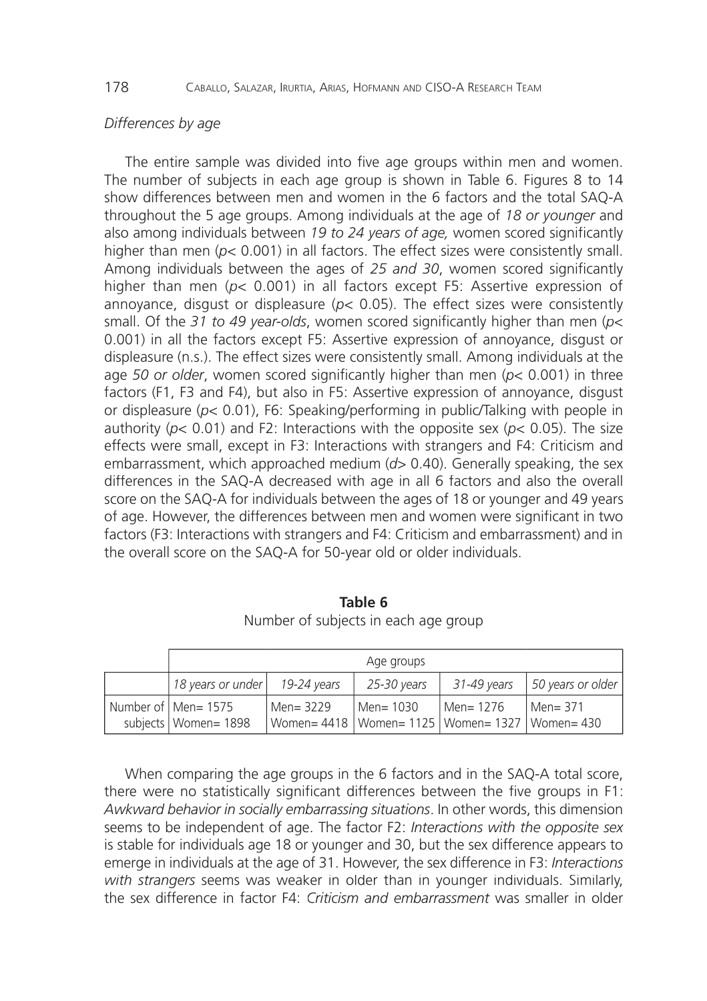# *Differences by age*

The entire sample was divided into five age groups within men and women. The number of subjects in each age group is shown in Table 6. Figures 8 to 14 show differences between men and women in the 6 factors and the total SAQ-A throughout the 5 age groups. Among individuals at the age of *18 or younger* and also among individuals between *19 to 24 years of age,* women scored significantly higher than men ( $p$ < 0.001) in all factors. The effect sizes were consistently small. Among individuals between the ages of *25 and 30*, women scored significantly higher than men (*p*< 0.001) in all factors except F5: Assertive expression of annoyance, disgust or displeasure (*p*< 0.05). The effect sizes were consistently small. Of the *31 to 49 year-olds*, women scored significantly higher than men (*p*< 0.001) in all the factors except F5: Assertive expression of annoyance, disgust or displeasure (n.s.). The effect sizes were consistently small. Among individuals at the age *50 or older*, women scored significantly higher than men (*p*< 0.001) in three factors (F1, F3 and F4), but also in F5: Assertive expression of annoyance, disgust or displeasure (*p*< 0.01), F6: Speaking/performing in public/Talking with people in authority (*p*< 0.01) and F2: Interactions with the opposite sex (*p*< 0.05). The size effects were small, except in F3: Interactions with strangers and F4: Criticism and embarrassment, which approached medium (*d*> 0.40). Generally speaking, the sex differences in the SAQ-A decreased with age in all 6 factors and also the overall score on the SAQ-A for individuals between the ages of 18 or younger and 49 years of age. However, the differences between men and women were significant in two factors (F3: Interactions with strangers and F4: Criticism and embarrassment) and in the overall score on the SAQ-A for 50-year old or older individuals.

|  |                                               |                                                                     | Age groups  |             |                   |
|--|-----------------------------------------------|---------------------------------------------------------------------|-------------|-------------|-------------------|
|  | 18 years or under                             | 19-24 vears                                                         | 25-30 years | 31-49 years | 50 years or older |
|  | Number of Men= 1575<br>subjects   Women= 1898 | Men= 3229<br>  Women= 4418   Women= 1125   Women= 1327   Women= 430 | Men= 1030   | Men= 1276   | l Men= 371        |

**Table 6** Number of subjects in each age group

When comparing the age groups in the 6 factors and in the SAQ-A total score, there were no statistically significant differences between the five groups in F1: *Awkward behavior in socially embarrassing situations*. In other words, this dimension seems to be independent of age. The factor F2: *Interactions with the opposite sex* is stable for individuals age 18 or younger and 30, but the sex difference appears to emerge in individuals at the age of 31. However, the sex difference in F3: *Interactions with strangers* seems was weaker in older than in younger individuals. Similarly, the sex difference in factor F4: *Criticism and embarrassment* was smaller in older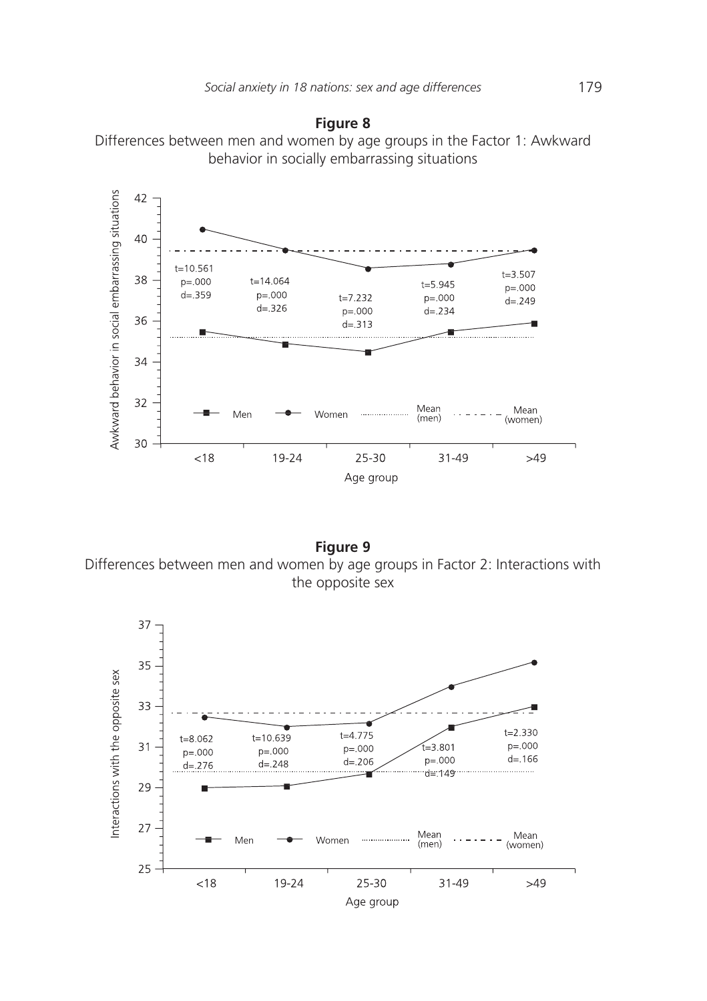



**Figure 9** Differences between men and women by age groups in Factor 2: Interactions with the opposite sex

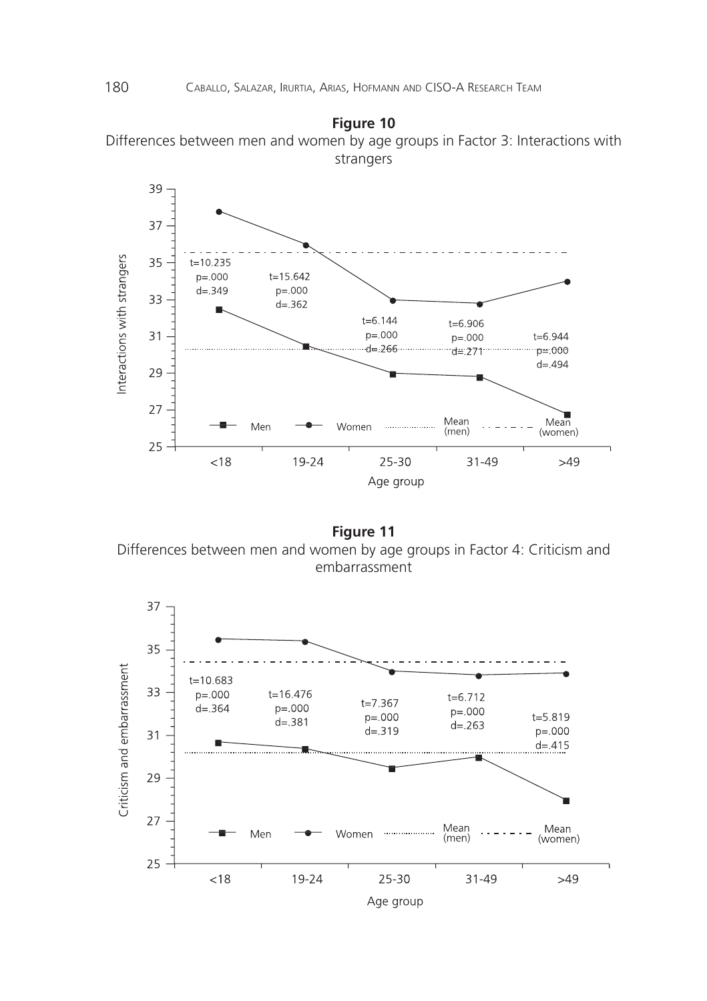



**Figure 11** Differences between men and women by age groups in Factor 4: Criticism and embarrassment

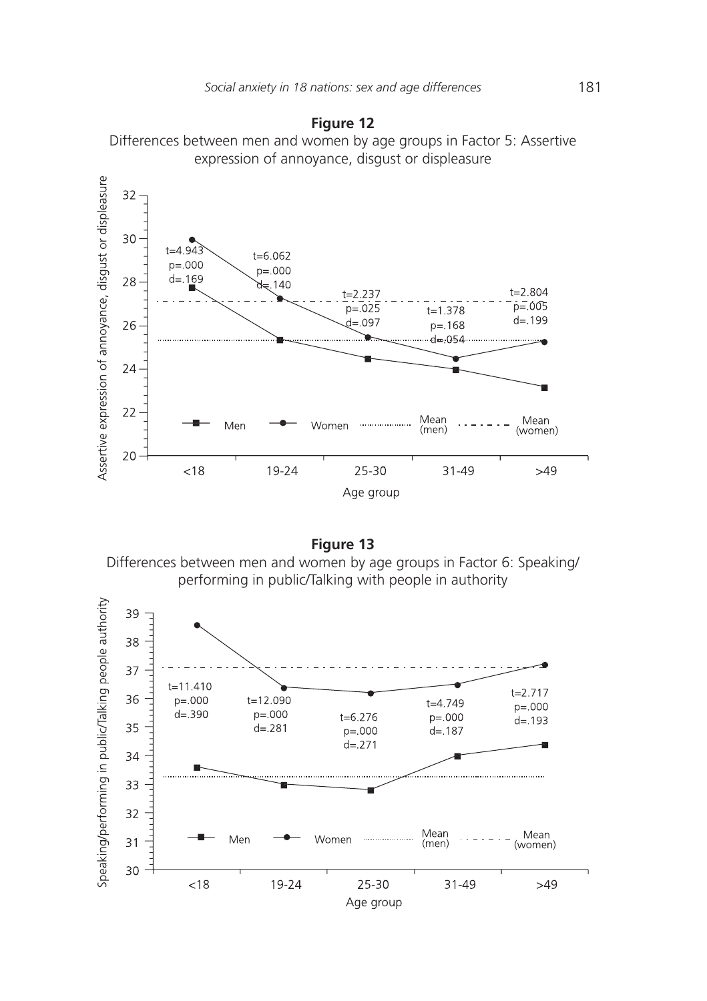

# **Figure 12**

**Figure 13**

Differences between men and women by age groups in Factor 6: Speaking/ performing in public/Talking with people in authority

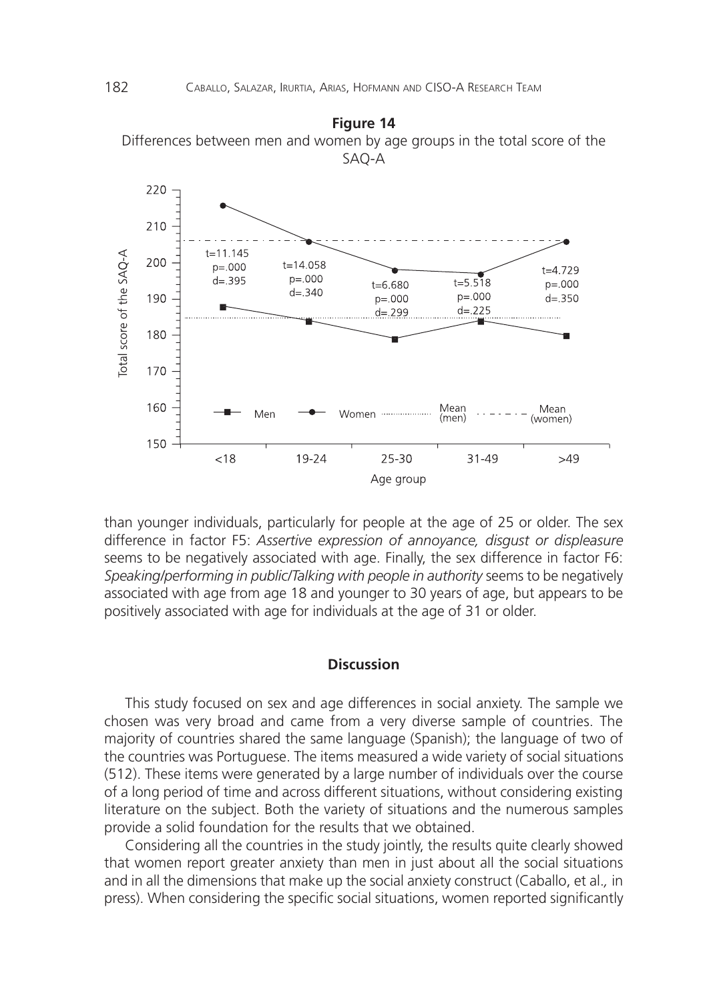

**Figure 14** Differences between men and women by age groups in the total score of the

than younger individuals, particularly for people at the age of 25 or older. The sex difference in factor F5: *Assertive expression of annoyance, disgust or displeasure* seems to be negatively associated with age. Finally, the sex difference in factor F6: *Speaking/performing in public/Talking with people in authority* seems to be negatively associated with age from age 18 and younger to 30 years of age, but appears to be positively associated with age for individuals at the age of 31 or older.

#### **Discussion**

This study focused on sex and age differences in social anxiety. The sample we chosen was very broad and came from a very diverse sample of countries. The majority of countries shared the same language (Spanish); the language of two of the countries was Portuguese. The items measured a wide variety of social situations (512). These items were generated by a large number of individuals over the course of a long period of time and across different situations, without considering existing literature on the subject. Both the variety of situations and the numerous samples provide a solid foundation for the results that we obtained.

Considering all the countries in the study jointly, the results quite clearly showed that women report greater anxiety than men in just about all the social situations and in all the dimensions that make up the social anxiety construct (Caballo, et al.*,* in press). When considering the specific social situations, women reported significantly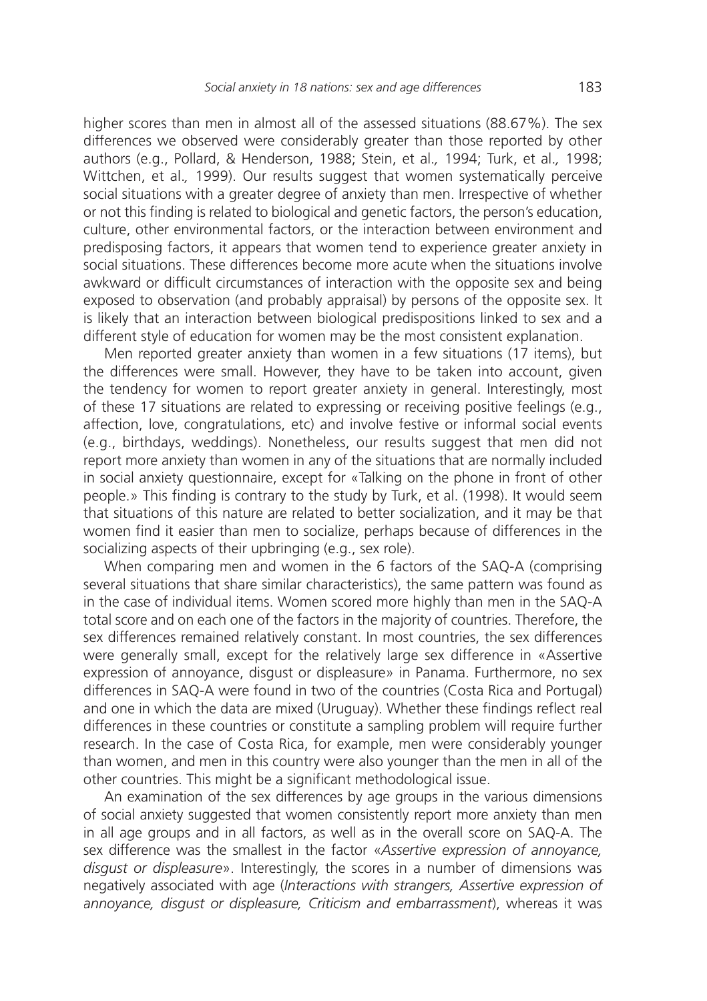higher scores than men in almost all of the assessed situations (88.67%). The sex differences we observed were considerably greater than those reported by other authors (e.g., Pollard, & Henderson, 1988; Stein, et al.*,* 1994; Turk, et al.*,* 1998; Wittchen, et al.*,* 1999). Our results suggest that women systematically perceive social situations with a greater degree of anxiety than men. Irrespective of whether or not this finding is related to biological and genetic factors, the person's education, culture, other environmental factors, or the interaction between environment and predisposing factors, it appears that women tend to experience greater anxiety in social situations. These differences become more acute when the situations involve awkward or difficult circumstances of interaction with the opposite sex and being exposed to observation (and probably appraisal) by persons of the opposite sex. It is likely that an interaction between biological predispositions linked to sex and a different style of education for women may be the most consistent explanation.

Men reported greater anxiety than women in a few situations (17 items), but the differences were small. However, they have to be taken into account, given the tendency for women to report greater anxiety in general. Interestingly, most of these 17 situations are related to expressing or receiving positive feelings (e.g., affection, love, congratulations, etc) and involve festive or informal social events (e.g., birthdays, weddings). Nonetheless, our results suggest that men did not report more anxiety than women in any of the situations that are normally included in social anxiety questionnaire, except for «Talking on the phone in front of other people.» This finding is contrary to the study by Turk, et al. (1998). It would seem that situations of this nature are related to better socialization, and it may be that women find it easier than men to socialize, perhaps because of differences in the socializing aspects of their upbringing (e.g., sex role).

When comparing men and women in the 6 factors of the SAQ-A (comprising several situations that share similar characteristics), the same pattern was found as in the case of individual items. Women scored more highly than men in the SAQ-A total score and on each one of the factors in the majority of countries. Therefore, the sex differences remained relatively constant. In most countries, the sex differences were generally small, except for the relatively large sex difference in «Assertive expression of annoyance, disgust or displeasure» in Panama. Furthermore, no sex differences in SAQ-A were found in two of the countries (Costa Rica and Portugal) and one in which the data are mixed (Uruguay). Whether these findings reflect real differences in these countries or constitute a sampling problem will require further research. In the case of Costa Rica, for example, men were considerably younger than women, and men in this country were also younger than the men in all of the other countries. This might be a significant methodological issue.

An examination of the sex differences by age groups in the various dimensions of social anxiety suggested that women consistently report more anxiety than men in all age groups and in all factors, as well as in the overall score on SAQ-A. The sex difference was the smallest in the factor «*Assertive expression of annoyance, disgust or displeasure*». Interestingly, the scores in a number of dimensions was negatively associated with age (*Interactions with strangers, Assertive expression of*  annoyance, disqust or displeasure, Criticism and embarrassment), whereas it was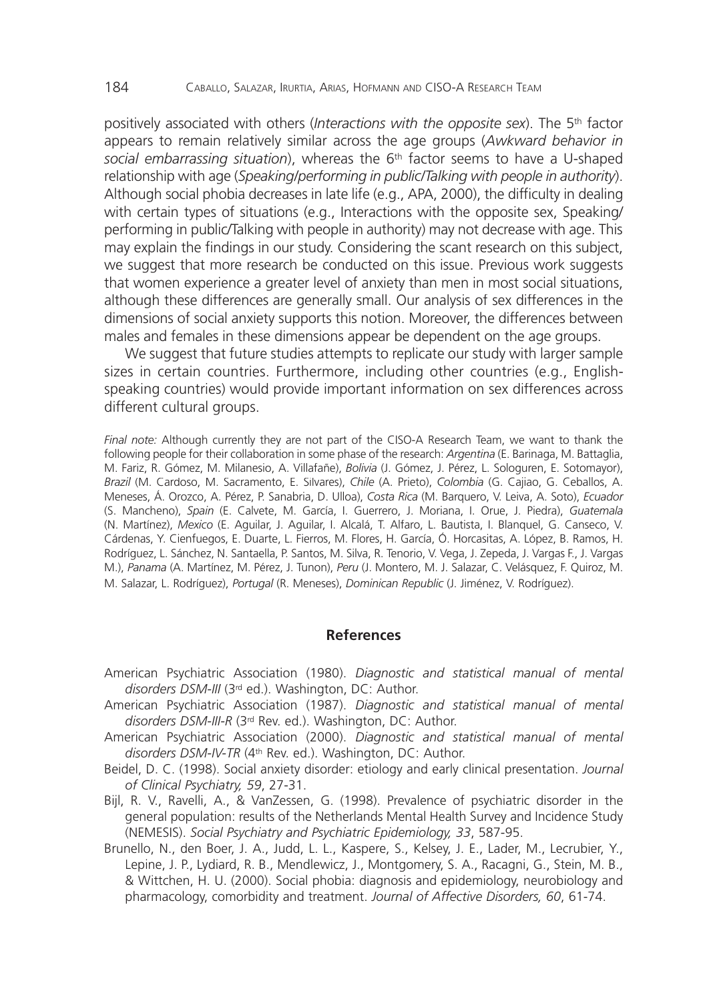positively associated with others (*Interactions with the opposite sex*). The 5<sup>th</sup> factor appears to remain relatively similar across the age groups (*Awkward behavior in social embarrassing situation*), whereas the 6th factor seems to have a U-shaped relationship with age (*Speaking/performing in public/Talking with people in authority*). Although social phobia decreases in late life (e.g., APA, 2000), the difficulty in dealing with certain types of situations (e.g., Interactions with the opposite sex, Speaking/ performing in public/Talking with people in authority) may not decrease with age. This may explain the findings in our study. Considering the scant research on this subject, we suggest that more research be conducted on this issue. Previous work suggests that women experience a greater level of anxiety than men in most social situations, although these differences are generally small. Our analysis of sex differences in the dimensions of social anxiety supports this notion. Moreover, the differences between males and females in these dimensions appear be dependent on the age groups.

We suggest that future studies attempts to replicate our study with larger sample sizes in certain countries. Furthermore, including other countries (e.g., Englishspeaking countries) would provide important information on sex differences across different cultural groups.

*Final note:* Although currently they are not part of the CISO-A Research Team, we want to thank the following people for their collaboration in some phase of the research: *Argentina* (E. Barinaga, M. Battaglia, M. Fariz, R. Gómez, M. Milanesio, A. Villafañe), *Bolivia* (J. Gómez, J. Pérez, L. Sologuren, E. Sotomayor), Brazil (M. Cardoso, M. Sacramento, E. Silvares), *Chile* (A. Prieto), *Colombia* (G. Cajiao, G. Ceballos, A. Meneses, Á. Orozco, A. Pérez, P. Sanabria, D. Ulloa), *Costa Rica* (M. Barquero, V. Leiva, A. Soto), *Ecuador* (S. Mancheno), *Spain* (E. Calvete, M. García, I. Guerrero, J. Moriana, I. Orue, J. Piedra), *Guatemala* (N. Martínez), *Mexico* (E. Aguilar, J. Aguilar, I. Alcalá, T. Alfaro, L. Bautista, I. Blanquel, G. Canseco, V. Cárdenas, Y. Cienfuegos, E. Duarte, L. Fierros, M. Flores, H. García, Ó. Horcasitas, A. López, B. Ramos, H. Rodríguez, L. Sánchez, N. Santaella, P. Santos, M. Silva, R. Tenorio, V. Vega, J. Zepeda, J. Vargas F., J. Vargas M.), *Panama* (A. Martínez, M. Pérez, J. Tunon), *Peru* (J. Montero, M. J. Salazar, C. Velásquez, F. Quiroz, M. M. Salazar, L. Rodríguez), *Portugal* (R. Meneses), *Dominican Republic* (J. Jiménez, V. Rodríguez).

# **References**

- American Psychiatric Association (1980). *Diagnostic and statistical manual of mental disorders DSM-III* (3rd ed.). Washington, DC: Author.
- American Psychiatric Association (1987). *Diagnostic and statistical manual of mental disorders DSM-III-R* (3rd Rev. ed.). Washington, DC: Author.
- American Psychiatric Association (2000). *Diagnostic and statistical manual of mental disorders DSM-IV-TR* (4th Rev. ed.). Washington, DC: Author.
- Beidel, D. C. (1998). Social anxiety disorder: etiology and early clinical presentation. *Journal of Clinical Psychiatry, 59*, 27-31.
- Bijl, R. V., Ravelli, A., & VanZessen, G. (1998). Prevalence of psychiatric disorder in the general population: results of the Netherlands Mental Health Survey and Incidence Study (NEMESIS). *Social Psychiatry and Psychiatric Epidemiology, 33*, 587-95.
- Brunello, N., den Boer, J. A., Judd, L. L., Kaspere, S., Kelsey, J. E., Lader, M., Lecrubier, Y., Lepine, J. P., Lydiard, R. B., Mendlewicz, J., Montgomery, S. A., Racagni, G., Stein, M. B., & Wittchen, H. U. (2000). Social phobia: diagnosis and epidemiology, neurobiology and pharmacology, comorbidity and treatment. *Journal of Affective Disorders, 60*, 61-74.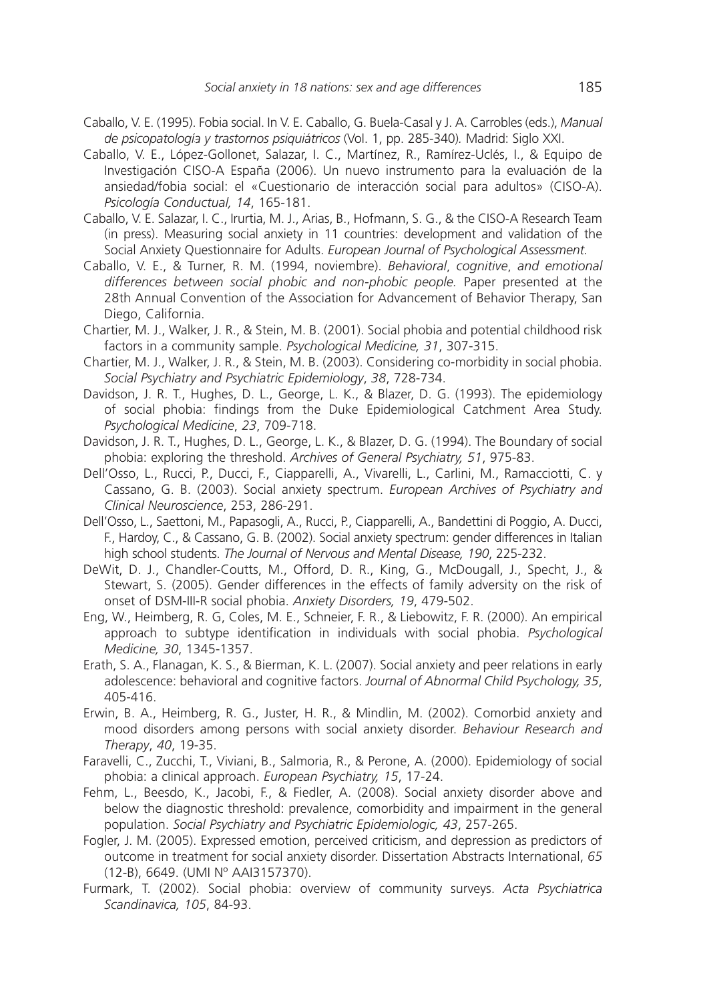- Caballo, V. E. (1995). Fobia social. In V. E. Caballo, G. Buela-Casal y J. A. Carrobles (eds.), *Manual de psicopatología y trastornos psiqui a y trastornos psiquiátricos* (Vol. 1, pp. 285-340) (Vol. 1, pp. *.* Madrid: Siglo XXI.
- Caballo, V. E., López-Gollonet, Salazar, I. C., Martínez, R., Ramírez-Uclés, I., & Equipo de Investigación CISO-A España (2006). Un nuevo instrumento para la evaluación de la ansiedad/fobia social: el «Cuestionario de interacción social para adultos» (CISO-A). *Psicología Conductual, 14, 165-181.*
- Caballo, V. E. Salazar, I. C., Irurtia, M. J., Arias, B., Hofmann, S. G., & the CISO-A Research Team (in press). Measuring social anxiety in 11 countries: development and validation of the Social Anxiety Questionnaire for Adults. *European Journal of Psychological Assessment.*
- Caballo, V. E., & Turner, R. M. (1994, noviembre). *Behavioral*, *cognitive*, *and emotional differences between social phobic and non-phobic people.* Paper presented at the 28th Annual Convention of the Association for Advancement of Behavior Therapy, San Diego, California.
- Chartier, M. J., Walker, J. R., & Stein, M. B. (2001). Social phobia and potential childhood risk factors in a community sample. *Psychological Medicine, 31*, 307-315.
- Chartier, M. J., Walker, J. R., & Stein, M. B. (2003). Considering co-morbidity in social phobia. *Social Psychiatry and Psychiatric Epidemiology*, *38*, 728-734.
- Davidson, J. R. T., Hughes, D. L., George, L. K., & Blazer, D. G. (1993). The epidemiology of social phobia: findings from the Duke Epidemiological Catchment Area Study. *Psychological Medicine*, *23*, 709-718.
- Davidson, J. R. T., Hughes, D. L., George, L. K., & Blazer, D. G. (1994). The Boundary of social phobia: exploring the threshold. *Archives of General Psychiatry, 51*, 975-83.
- Dell'Osso, L., Rucci, P., Ducci, F., Ciapparelli, A., Vivarelli, L., Carlini, M., Ramacciotti, C. y Cassano, G. B. (2003). Social anxiety spectrum. *European Archives of Psychiatry and Clinical Neuroscience*, 253, 286-291.
- Dell'Osso, L., Saettoni, M., Papasogli, A., Rucci, P., Ciapparelli, A., Bandettini di Poggio, A. Ducci, F., Hardoy, C., & Cassano, G. B. (2002). Social anxiety spectrum: gender differences in Italian high school students. *The Journal of Nervous and Mental Disease, 190*, 225-232.
- DeWit, D. J., Chandler-Coutts, M., Offord, D. R., King, G., McDougall, J., Specht, J., & Stewart, S. (2005). Gender differences in the effects of family adversity on the risk of onset of DSM-III-R social phobia. *Anxiety Disorders, 19*, 479-502.
- Eng, W., Heimberg, R. G, Coles, M. E., Schneier, F. R., & Liebowitz, F. R. (2000). An empirical approach to subtype identification in individuals with social phobia. *Psychological Medicine, 30*, 1345-1357.
- Erath, S. A., Flanagan, K. S., & Bierman, K. L. (2007). Social anxiety and peer relations in early adolescence: behavioral and cognitive factors. *Journal of Abnormal Child Psychology, 35*, 405-416.
- Erwin, B. A., Heimberg, R. G., Juster, H. R., & Mindlin, M. (2002). Comorbid anxiety and mood disorders among persons with social anxiety disorder. *Behaviour Research and Therapy*, *40*, 19-35.
- Faravelli, C., Zucchi, T., Viviani, B., Salmoria, R., & Perone, A. (2000). Epidemiology of social phobia: a clinical approach. *European Psychiatry, 15*, 17-24.
- Fehm, L., Beesdo, K., Jacobi, F., & Fiedler, A. (2008). Social anxiety disorder above and below the diagnostic threshold: prevalence, comorbidity and impairment in the general population. *Social Psychiatry and Psychiatric Epidemiologic, 43*, 257-265.
- Fogler, J. M. (2005). Expressed emotion, perceived criticism, and depression as predictors of outcome in treatment for social anxiety disorder. Dissertation Abstracts International, *65*  (12-B), 6649. (UMI Nº AAI3157370).
- Furmark, T. (2002). Social phobia: overview of community surveys. *Acta Psychiatrica Scandinavica, 105*, 84-93.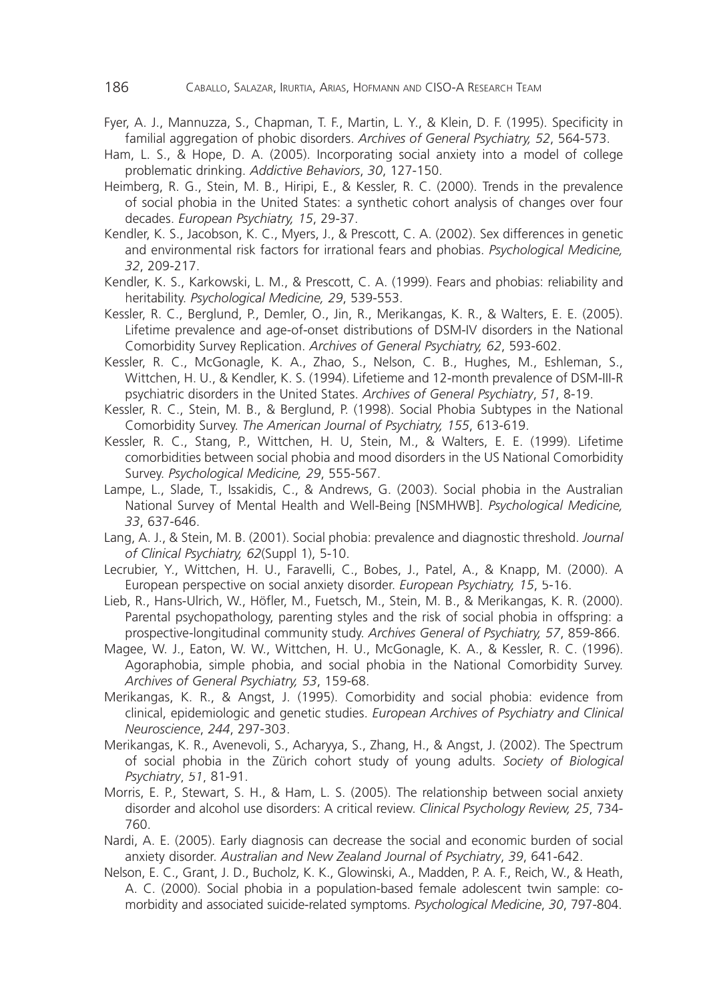- Fyer, A. J., Mannuzza, S., Chapman, T. F., Martin, L. Y., & Klein, D. F. (1995). Specificity in familial aggregation of phobic disorders. *Archives of General Psychiatry, 52*, 564-573.
- Ham, L. S., & Hope, D. A. (2005). Incorporating social anxiety into a model of college problematic drinking. *Addictive Behaviors*, *30*, 127-150.
- Heimberg, R. G., Stein, M. B., Hiripi, E., & Kessler, R. C. (2000). Trends in the prevalence of social phobia in the United States: a synthetic cohort analysis of changes over four decades. *European Psychiatry, 15*, 29-37.
- Kendler, K. S., Jacobson, K. C., Myers, J., & Prescott, C. A. (2002). Sex differences in genetic and environmental risk factors for irrational fears and phobias. *Psychological Medicine, 32*, 209-217.
- Kendler, K. S., Karkowski, L. M., & Prescott, C. A. (1999). Fears and phobias: reliability and heritability. *Psychological Medicine, 29*, 539-553.
- Kessler, R. C., Berglund, P., Demler, O., Jin, R., Merikangas, K. R., & Walters, E. E. (2005). Lifetime prevalence and age-of-onset distributions of DSM-IV disorders in the National Comorbidity Survey Replication. *Archives of General Psychiatry, 62*, 593-602.
- Kessler, R. C., McGonagle, K. A., Zhao, S., Nelson, C. B., Hughes, M., Eshleman, S., Wittchen, H. U., & Kendler, K. S. (1994). Lifetieme and 12-month prevalence of DSM-III-R psychiatric disorders in the United States. *Archives of General Psychiatry*, *51*, 8-19.
- Kessler, R. C., Stein, M. B., & Berglund, P. (1998). Social Phobia Subtypes in the National Comorbidity Survey. *The American Journal of Psychiatry, 155*, 613-619.
- Kessler, R. C., Stang, P., Wittchen, H. U, Stein, M., & Walters, E. E. (1999). Lifetime comorbidities between social phobia and mood disorders in the US National Comorbidity Survey. *Psychological Medicine, 29*, 555-567.
- Lampe, L., Slade, T., Issakidis, C., & Andrews, G. (2003). Social phobia in the Australian National Survey of Mental Health and Well-Being [NSMHWB]. *Psychological Medicine, 33*, 637-646.
- Lang, A. J., & Stein, M. B. (2001). Social phobia: prevalence and diagnostic threshold. *Journal of Clinical Psychiatry, 62*(Suppl 1), 5-10.
- Lecrubier, Y., Wittchen, H. U., Faravelli, C., Bobes, J., Patel, A., & Knapp, M. (2000). A European perspective on social anxiety disorder. *European Psychiatry, 15*, 5-16.
- Lieb, R., Hans-Ulrich, W., Höfler, M., Fuetsch, M., Stein, M. B., & Merikangas, K. R. (2000). Parental psychopathology, parenting styles and the risk of social phobia in offspring: a prospective-longitudinal community study. *Archives General of Psychiatry, 57*, 859-866.
- Magee, W. J., Eaton, W. W., Wittchen, H. U., McGonagle, K. A., & Kessler, R. C. (1996). Agoraphobia, simple phobia, and social phobia in the National Comorbidity Survey. *Archives of General Psychiatry, 53*, 159-68.
- Merikangas, K. R., & Angst, J. (1995). Comorbidity and social phobia: evidence from clinical, epidemiologic and genetic studies. *European Archives of Psychiatry and Clinical Neuroscience*, *244*, 297-303.
- Merikangas, K. R., Avenevoli, S., Acharyya, S., Zhang, H., & Angst, J. (2002). The Spectrum of social phobia in the Zürich cohort study of young adults. *Society of Biological Psychiatry*, *51*, 81-91.
- Morris, E. P., Stewart, S. H., & Ham, L. S. (2005). The relationship between social anxiety disorder and alcohol use disorders: A critical review. *Clinical Psychology Review, 25*, 734- 760.
- Nardi, A. E. (2005). Early diagnosis can decrease the social and economic burden of social anxiety disorder. *Australian and New Zealand Journal of Psychiatry*, *39*, 641-642.
- Nelson, E. C., Grant, J. D., Bucholz, K. K., Glowinski, A., Madden, P. A. F., Reich, W., & Heath, A. C. (2000). Social phobia in a population-based female adolescent twin sample: comorbidity and associated suicide-related symptoms. *Psychological Medicine*, *30*, 797-804.